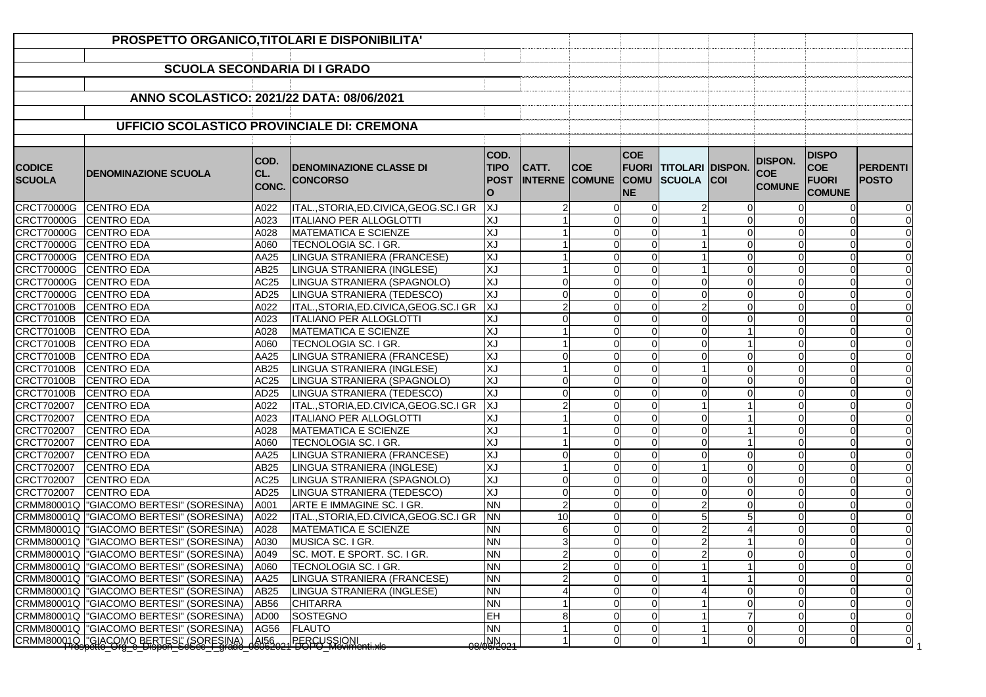|                                | PROSPETTO ORGANICO, TITOLARI E DISPONIBILITA'                                          |                      |                                                   |                                         |                  |                                     |                                        |                                                    |          |                                               |                                                             |                                 |
|--------------------------------|----------------------------------------------------------------------------------------|----------------------|---------------------------------------------------|-----------------------------------------|------------------|-------------------------------------|----------------------------------------|----------------------------------------------------|----------|-----------------------------------------------|-------------------------------------------------------------|---------------------------------|
|                                |                                                                                        |                      |                                                   |                                         |                  |                                     |                                        |                                                    |          |                                               |                                                             |                                 |
|                                | <b>SCUOLA SECONDARIA DI I GRADO</b>                                                    |                      |                                                   |                                         |                  |                                     |                                        |                                                    |          |                                               |                                                             |                                 |
|                                |                                                                                        |                      |                                                   |                                         |                  |                                     |                                        |                                                    |          |                                               |                                                             |                                 |
|                                | ANNO SCOLASTICO: 2021/22 DATA: 08/06/2021                                              |                      |                                                   |                                         |                  |                                     |                                        |                                                    |          |                                               |                                                             |                                 |
|                                |                                                                                        |                      |                                                   |                                         |                  |                                     |                                        |                                                    |          |                                               |                                                             |                                 |
|                                | <b>UFFICIO SCOLASTICO PROVINCIALE DI: CREMONA</b>                                      |                      |                                                   |                                         |                  |                                     |                                        |                                                    |          |                                               |                                                             |                                 |
|                                |                                                                                        |                      |                                                   |                                         |                  |                                     |                                        |                                                    |          |                                               |                                                             |                                 |
| <b>CODICE</b><br><b>SCUOLA</b> | <b>DENOMINAZIONE SCUOLA</b>                                                            | COD.<br>CL.<br>CONC. | <b>DENOMINAZIONE CLASSE DI</b><br><b>CONCORSO</b> | COD.<br><b>TIPO</b><br><b>POST</b><br>O | CATT.            | <b>COE</b><br><b>INTERNE COMUNE</b> | <b>COE</b><br><b>COMU</b><br><b>NE</b> | <b>FUORI TITOLARI DISPON.</b><br><b>SCUOLA COL</b> |          | <b>DISPON.</b><br><b>COE</b><br><b>COMUNE</b> | <b>DISPO</b><br><b>COE</b><br><b>FUORI</b><br><b>COMUNE</b> | <b>PERDENTI</b><br><b>POSTO</b> |
| CRCT70000G CENTRO EDA          |                                                                                        | A022                 | ITAL., STORIA, ED. CIVICA, GEOG. SC. I GR         | <b>XJ</b>                               |                  |                                     |                                        |                                                    | $\Omega$ |                                               |                                                             |                                 |
| CRCT70000G CENTRO EDA          |                                                                                        | A023                 | <b>ITALIANO PER ALLOGLOTTI</b>                    | ΧJ                                      |                  |                                     |                                        |                                                    | $\Omega$ |                                               |                                                             |                                 |
| CRCT70000G CENTRO EDA          |                                                                                        | A028                 | MATEMATICA E SCIENZE                              | ΧJ                                      |                  |                                     |                                        |                                                    | $\Omega$ |                                               | $\Omega$                                                    |                                 |
| CRCT70000G CENTRO EDA          |                                                                                        | A060                 | TECNOLOGIA SC. I GR.                              | ΧJ                                      |                  | $\Omega$                            | $\Omega$                               |                                                    | $\Omega$ |                                               | $\Omega$                                                    |                                 |
| CRCT70000G CENTRO EDA          |                                                                                        | AA25                 | LINGUA STRANIERA (FRANCESE)                       | ΧJ                                      |                  |                                     |                                        |                                                    | $\Omega$ |                                               | $\Omega$                                                    |                                 |
| CRCT70000G CENTRO EDA          |                                                                                        | AB25                 | LINGUA STRANIERA (INGLESE)                        | ΧJ                                      |                  |                                     | $\Omega$                               |                                                    | $\Omega$ |                                               | $\Omega$                                                    |                                 |
| CRCT70000G CENTRO EDA          |                                                                                        | AC25                 | LINGUA STRANIERA (SPAGNOLO)                       | ΧJ                                      | $\Omega$         |                                     | $\Omega$                               | ŋ                                                  | $\Omega$ |                                               | $\Omega$                                                    |                                 |
| CRCT70000G CENTRO EDA          |                                                                                        | AD25                 | LINGUA STRANIERA (TEDESCO)                        | XJ                                      | 0                | ∩                                   |                                        | ი                                                  | $\Omega$ |                                               | $\Omega$                                                    |                                 |
| CRCT70100B CENTRO EDA          |                                                                                        | A022                 | ITAL., STORIA, ED. CIVICA, GEOG. SC. I GR         | XJ                                      | 2                | $\Omega$                            |                                        |                                                    | $\Omega$ |                                               | $\Omega$                                                    |                                 |
| CRCT70100B CENTRO EDA          |                                                                                        | A023                 | <b>ITALIANO PER ALLOGLOTTI</b>                    | XJ                                      | 0                |                                     |                                        |                                                    |          |                                               |                                                             |                                 |
| CRCT70100B CENTRO EDA          |                                                                                        | A028                 | MATEMATICA E SCIENZE                              | ΧJ                                      |                  |                                     |                                        |                                                    |          |                                               | U                                                           |                                 |
| CRCT70100B CENTRO EDA          |                                                                                        | A060                 | <b>TECNOLOGIA SC. I GR.</b>                       | XJ                                      |                  |                                     |                                        |                                                    |          |                                               | 0                                                           |                                 |
| CRCT70100B CENTRO EDA          |                                                                                        | AA25                 | LINGUA STRANIERA (FRANCESE)                       | ΧJ                                      | 0                | 0                                   |                                        |                                                    | $\Omega$ |                                               | $\Omega$                                                    |                                 |
| CRCT70100B CENTRO EDA          |                                                                                        | AB <sub>25</sub>     | LINGUA STRANIERA (INGLESE)                        | ΧJ                                      |                  |                                     |                                        |                                                    |          |                                               |                                                             |                                 |
| CRCT70100B CENTRO EDA          |                                                                                        | AC25                 | LINGUA STRANIERA (SPAGNOLO)                       | XJ                                      | 0                | ∩                                   |                                        |                                                    | $\Omega$ |                                               | $\Omega$                                                    |                                 |
| CRCT70100B CENTRO EDA          |                                                                                        | AD25                 | LINGUA STRANIERA (TEDESCO)                        | XJ                                      | 0                |                                     |                                        |                                                    | ∩        |                                               | $\Omega$                                                    |                                 |
| CRCT702007 CENTRO EDA          |                                                                                        | A022                 | ITAL., STORIA, ED.CIVICA, GEOG. SC. I GR          | XJ                                      |                  | ∩                                   |                                        |                                                    |          |                                               | $\Omega$                                                    |                                 |
| CRCT702007 CENTRO EDA          |                                                                                        | A023                 | <b>ITALIANO PER ALLOGLOTTI</b>                    | XJ                                      |                  |                                     |                                        |                                                    |          |                                               |                                                             |                                 |
| CRCT702007                     | CENTRO EDA                                                                             | A028                 | MATEMATICA E SCIENZE                              | ΧJ                                      |                  | ∩                                   |                                        |                                                    |          |                                               | $\Omega$                                                    |                                 |
| CRCT702007                     | <b>CENTRO EDA</b>                                                                      | A060                 | TECNOLOGIA SC. I GR.                              | XJ                                      |                  |                                     |                                        |                                                    |          |                                               | $\Omega$                                                    |                                 |
| CRCT702007                     | CENTRO EDA                                                                             | AA25                 | LINGUA STRANIERA (FRANCESE)                       | XJ                                      | 0                | $\Omega$                            |                                        | $\Omega$                                           | $\Omega$ |                                               | $\Omega$                                                    |                                 |
| CRCT702007                     | <b>CENTRO EDA</b>                                                                      | AB <sub>25</sub>     | LINGUA STRANIERA (INGLESE)                        | XJ                                      |                  |                                     |                                        |                                                    | $\Omega$ |                                               | $\Omega$                                                    |                                 |
| <b>CRCT702007</b>              | CENTRO EDA                                                                             | AC <sub>25</sub>     | LINGUA STRANIERA (SPAGNOLO)                       | XJ                                      | 0                |                                     |                                        |                                                    | $\Omega$ |                                               |                                                             |                                 |
| CRCT702007                     | <b>CENTRO EDA</b>                                                                      | AD <sub>25</sub>     | LINGUA STRANIERA (TEDESCO)                        | XJ                                      | 0                |                                     |                                        |                                                    | $\Omega$ |                                               | $\Omega$                                                    |                                 |
|                                | CRMM80001Q  "GIACOMO BERTESI" (SORESINA)                                               | A001                 | ARTE E IMMAGINE SC. I GR.                         | <b>NN</b>                               | $\boldsymbol{2}$ | $\Omega$                            | $\Omega$                               | $\overline{2}$                                     | $\Omega$ |                                               | $\Omega$                                                    |                                 |
|                                | CRMM80001Q   "GIACOMO BERTESI" (SORESINA)                                              | A022                 | ITAL., STORIA, ED. CIVICA, GEOG. SC. I GR         | <b>NN</b>                               | 10               |                                     |                                        | 5 <sup>1</sup>                                     |          |                                               | $\Omega$                                                    |                                 |
|                                | CRMM80001Q   "GIACOMO BERTESI" (SORESINA)                                              | A028                 | MATEMATICA E SCIENZE                              | <b>NN</b>                               | 6                |                                     |                                        | 2                                                  |          |                                               | $\Omega$                                                    |                                 |
|                                | CRMM80001Q   "GIACOMO BERTESI" (SORESINA)                                              | A030                 | MUSICA SC. I GR.                                  | <b>NN</b>                               | 3                | $\Omega$                            |                                        |                                                    |          |                                               | $\Omega$                                                    |                                 |
|                                | CRMM80001Q   "GIACOMO BERTESI" (SORESINA)                                              | A049                 | SC. MOT. E SPORT. SC. I GR.                       | <b>NN</b>                               | $\overline{2}$   | $\Omega$                            | $\Omega$                               | $\overline{2}$                                     | $\Omega$ | $\Omega$                                      | $\Omega$                                                    | $\Omega$                        |
|                                | CRMM80001Q   "GIACOMO BERTESI" (SORESINA)                                              | A060                 | TECNOLOGIA SC. I GR.                              | <b>NN</b>                               | 2                | $\Omega$                            | $\Omega$                               |                                                    |          | 0                                             | $\overline{0}$                                              | $\overline{0}$                  |
|                                | CRMM80001Q   "GIACOMO BERTESI" (SORESINA)                                              | AA25                 | LINGUA STRANIERA (FRANCESE)                       | <b>NN</b>                               | $\overline{2}$   | ∩                                   |                                        |                                                    |          |                                               | $\Omega$                                                    | $\overline{0}$                  |
|                                | CRMM80001Q   "GIACOMO BERTESI" (SORESINA)                                              | AB25                 | LINGUA STRANIERA (INGLESE)                        | <b>NN</b>                               |                  | ∩                                   |                                        |                                                    | ∩        |                                               | $\Omega$                                                    | $\overline{0}$                  |
|                                | CRMM80001Q   "GIACOMO BERTESI" (SORESINA)                                              | AB <sub>56</sub>     | <b>CHITARRA</b>                                   | <b>NN</b>                               |                  | O                                   |                                        |                                                    | $\Omega$ |                                               | $\Omega$                                                    | $\overline{0}$                  |
|                                | CRMM80001Q   "GIACOMO BERTESI" (SORESINA)<br>CRMM80001Q   "GIACOMO BERTESI" (SORESINA) | AD00                 | SOSTEGNO                                          | EH                                      |                  | ∩                                   |                                        |                                                    |          |                                               | $\Omega$                                                    | $\overline{0}$                  |
|                                |                                                                                        | AG56                 | <b>FLAUTO</b>                                     | $\overline{NN}$                         |                  |                                     |                                        |                                                    | 0        |                                               |                                                             | $\overline{0}$                  |
|                                | CRMM80001Q "GIACOMO BERTESL" (SORESINA)<br>Trospetto_Org_e_Dispon_SeSec_L_grado_       | 888202               | PERCUSSIONI<br>1-BOPO_Movimenti.xls               | 08/06/2021                              |                  |                                     |                                        |                                                    |          |                                               | 01                                                          | $\overline{0}$                  |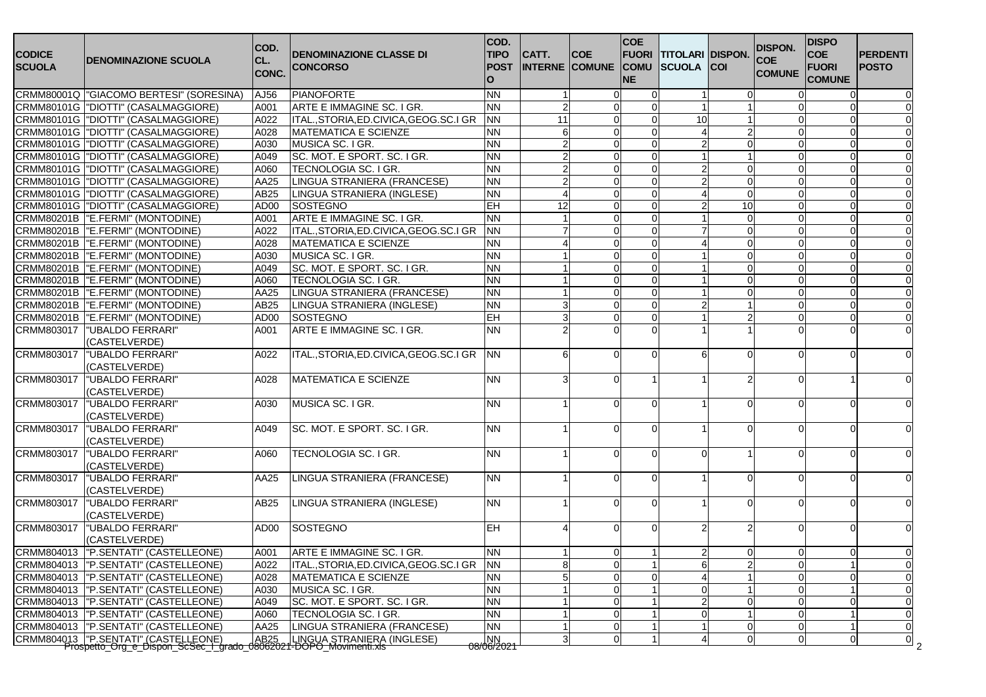| <b>CODICE</b><br><b>SCUOLA</b> | <b>DENOMINAZIONE SCUOLA</b>                                         | COD.<br>CL.<br><b>CONC.</b> | <b>DENOMINAZIONE CLASSE DI</b><br><b>CONCORSO</b> | COD.<br><b>TIPO</b><br><b>POST</b><br>$\Omega$ | CATT.          | <b>COE</b><br><b>INTERNE COMUNE COMU</b> | <b>COE</b><br><b>FUORI</b><br><b>NE</b> | <b>TITOLARI DISPON.</b><br><b>SCUOLA</b> | <b>COI</b>     | <b>DISPON.</b><br><b>COE</b><br><b>COMUNE</b> | <b>DISPO</b><br><b>COE</b><br><b>FUORI</b><br><b>COMUNE</b> | <b>PERDENTI</b><br><b>POSTO</b> |
|--------------------------------|---------------------------------------------------------------------|-----------------------------|---------------------------------------------------|------------------------------------------------|----------------|------------------------------------------|-----------------------------------------|------------------------------------------|----------------|-----------------------------------------------|-------------------------------------------------------------|---------------------------------|
|                                | CRMM80001Q   "GIACOMO BERTESI" (SORESINA)                           | AJ56                        | <b>PIANOFORTE</b>                                 | <b>NN</b>                                      |                | ∩                                        | ∩                                       |                                          | $\Omega$       |                                               | $\Omega$                                                    |                                 |
|                                | CRMM80101G  "DIOTTI" (CASALMAGGIORE)                                | A001                        | ARTE E IMMAGINE SC. I GR.                         | <b>NN</b>                                      | $\overline{2}$ |                                          | ∩                                       |                                          |                |                                               |                                                             |                                 |
|                                | CRMM80101G   "DIOTTI" (CASALMAGGIORE)                               | A022                        | ITAL., STORIA, ED. CIVICA, GEOG. SC. I GR         | <b>NN</b>                                      | 11             | n                                        | O                                       | 10                                       |                |                                               | $\Omega$                                                    |                                 |
|                                | CRMM80101G  "DIOTTI" (CASALMAGGIORE)                                | A028                        | <b>MATEMATICA E SCIENZE</b>                       | <b>NN</b>                                      | 6              | n                                        | $\Omega$                                |                                          |                |                                               | $\Omega$                                                    |                                 |
|                                | CRMM80101G  "DIOTTI" (CASALMAGGIORE)                                | A030                        | MUSICA SC. I GR.                                  | <b>NN</b>                                      |                |                                          | ∩                                       |                                          | $\Omega$       |                                               | $\Omega$                                                    |                                 |
|                                | CRMM80101G  "DIOTTI" (CASALMAGGIORE)                                | A049                        | SC. MOT. E SPORT. SC. I GR.                       | <b>NN</b>                                      |                | ∩                                        | $\Omega$                                |                                          |                |                                               | $\Omega$                                                    | $\Omega$                        |
|                                | CRMM80101G   "DIOTTI" (CASALMAGGIORE)                               | A060                        | TECNOLOGIA SC. I GR.                              | <b>NN</b>                                      |                | ∩                                        | $\Omega$                                |                                          | 0              |                                               | $\Omega$                                                    |                                 |
|                                | CRMM80101G  "DIOTTI" (CASALMAGGIORE)                                | AA25                        | LINGUA STRANIERA (FRANCESE)                       | <b>NN</b>                                      |                | ∩                                        | $\Omega$                                |                                          | $\mathbf 0$    |                                               | $\Omega$                                                    |                                 |
|                                | CRMM80101G  "DIOTTI" (CASALMAGGIORE)                                | AB25                        | <b>LINGUA STRANIERA (INGLESE)</b>                 | <b>NN</b>                                      |                |                                          | ∩                                       |                                          | $\Omega$       |                                               | ∩                                                           |                                 |
|                                | CRMM80101G  "DIOTTI" (CASALMAGGIORE)                                | AD <sub>00</sub>            | <b>SOSTEGNO</b>                                   | EH                                             | 12             | ∩                                        | $\mathbf{0}$                            |                                          | 10             |                                               | $\Omega$                                                    |                                 |
|                                | CRMM80201B  "E.FERMI" (MONTODINE)                                   | A001                        | ARTE E IMMAGINE SC. I GR.                         | <b>NN</b>                                      |                |                                          | $\Omega$                                |                                          | $\mathbf 0$    |                                               | $\Omega$                                                    |                                 |
|                                | CRMM80201B  "E.FERMI" (MONTODINE)                                   | A022                        | ITAL., STORIA, ED. CIVICA, GEOG. SC. I GR         | <b>NN</b>                                      |                | O                                        | $\Omega$                                |                                          | $\mathbf 0$    |                                               | $\mathbf 0$                                                 |                                 |
|                                | CRMM80201B  "E.FERMI" (MONTODINE)                                   | A028                        | <b>MATEMATICA E SCIENZE</b>                       | <b>NN</b>                                      |                |                                          | $\Omega$                                |                                          | $\mathbf 0$    |                                               | $\Omega$                                                    |                                 |
|                                | CRMM80201B  "E.FERMI" (MONTODINE)                                   | A030                        | MUSICA SC. I GR.                                  | <b>NN</b>                                      |                |                                          | $\Omega$                                |                                          | $\Omega$       |                                               | $\Omega$                                                    |                                 |
|                                | CRMM80201B  "E.FERMI" (MONTODINE)                                   | A049                        | SC. MOT. E SPORT. SC. I GR.                       | <b>NN</b>                                      |                | O                                        | $\Omega$                                |                                          | $\mathbf 0$    |                                               | $\Omega$                                                    |                                 |
| CRMM80201B                     | "E.FERMI" (MONTODINE)                                               | A060                        | TECNOLOGIA SC. I GR.                              | <b>NN</b>                                      |                | $\Omega$                                 | $\Omega$                                |                                          | $\mathbf 0$    |                                               | $\mathbf 0$                                                 |                                 |
| CRMM80201B                     | "E.FERMI" (MONTODINE)                                               | AA25                        | LINGUA STRANIERA (FRANCESE)                       | <b>NN</b>                                      |                | $\Omega$                                 | $\Omega$                                |                                          | $\mathbf 0$    |                                               | $\Omega$                                                    |                                 |
| CRMM80201B                     | "E.FERMI" (MONTODINE)                                               | AB25                        | LINGUA STRANIERA (INGLESE)                        | <b>NN</b>                                      | 3              | ∩                                        | $\Omega$                                |                                          |                |                                               | $\Omega$                                                    | $\Omega$                        |
| CRMM80201B                     | "E.FERMI" (MONTODINE)                                               | AD00                        | <b>SOSTEGNO</b>                                   | EH                                             | 3              |                                          | $\Omega$                                |                                          | $\overline{2}$ |                                               | $\Omega$                                                    |                                 |
| CRMM803017                     | "UBALDO FERRARI"                                                    | A001                        | ARTE E IMMAGINE SC. I GR.                         | <b>NN</b>                                      |                |                                          | ∩                                       |                                          |                |                                               |                                                             |                                 |
|                                | (CASTELVERDE)                                                       |                             |                                                   |                                                |                |                                          |                                         |                                          |                |                                               |                                                             |                                 |
| CRMM803017                     | "UBALDO FERRARI"                                                    | A022                        | ITAL., STORIA, ED.CIVICA, GEOG.SC.I GR            | <b>NN</b>                                      | 6              | ∩                                        | $\Omega$                                |                                          | $\Omega$       |                                               | ∩                                                           |                                 |
|                                | (CASTELVERDE)                                                       |                             |                                                   |                                                |                |                                          |                                         |                                          |                |                                               |                                                             |                                 |
| CRMM803017                     | "UBALDO FERRARI"                                                    | A028                        | <b>MATEMATICA E SCIENZE</b>                       | <b>NN</b>                                      | 3              | n                                        |                                         |                                          |                |                                               |                                                             |                                 |
|                                | (CASTELVERDE)                                                       |                             |                                                   |                                                |                |                                          |                                         |                                          |                |                                               |                                                             |                                 |
| CRMM803017                     | "UBALDO FERRARI"                                                    | A030                        | MUSICA SC. I GR.                                  | <b>NN</b>                                      |                |                                          |                                         |                                          |                |                                               | ∩                                                           |                                 |
|                                | (CASTELVERDE)                                                       |                             |                                                   |                                                |                |                                          |                                         |                                          |                |                                               |                                                             |                                 |
| CRMM803017                     | "UBALDO FERRARI"                                                    | A049                        | SC. MOT. E SPORT. SC. I GR.                       | <b>NN</b>                                      |                | ∩                                        | $\Omega$                                |                                          | $\Omega$       |                                               | $\Omega$                                                    |                                 |
|                                | (CASTELVERDE)                                                       |                             |                                                   |                                                |                |                                          |                                         |                                          |                |                                               |                                                             |                                 |
| CRMM803017                     | "UBALDO FERRARI"                                                    | A060                        | TECNOLOGIA SC. I GR.                              | <b>NN</b>                                      |                | $\Omega$                                 | $\Omega$                                |                                          |                |                                               | $\Omega$                                                    |                                 |
|                                | (CASTELVERDE)                                                       |                             |                                                   |                                                |                |                                          |                                         |                                          |                |                                               |                                                             |                                 |
| CRMM803017                     | "UBALDO FERRARI"                                                    | AA25                        | LINGUA STRANIERA (FRANCESE)                       | <b>NN</b>                                      |                |                                          | $\Omega$                                |                                          | ∩              |                                               | $\Omega$                                                    |                                 |
|                                | (CASTELVERDE)                                                       |                             |                                                   |                                                |                |                                          |                                         |                                          |                |                                               |                                                             |                                 |
| CRMM803017                     | "UBALDO FERRARI"                                                    | AB25                        | LINGUA STRANIERA (INGLESE)                        | <b>NN</b>                                      |                | ∩                                        | ∩                                       |                                          | $\Omega$       |                                               | $\Omega$                                                    |                                 |
|                                | (CASTELVERDE)                                                       |                             |                                                   |                                                |                |                                          |                                         |                                          |                |                                               |                                                             |                                 |
| CRMM803017                     | "UBALDO FERRARI"                                                    | AD <sub>00</sub>            | <b>SOSTEGNO</b>                                   | <b>EH</b>                                      |                | n                                        | $\Omega$                                |                                          | 2              |                                               | $\Omega$                                                    |                                 |
|                                | (CASTELVERDE)                                                       |                             |                                                   |                                                |                |                                          |                                         |                                          |                |                                               |                                                             |                                 |
|                                | CRMM804013  "P.SENTATI" (CASTELLEONE)                               | A001                        | ARTE E IMMAGINE SC. I GR.                         | <b>NN</b>                                      |                | 0                                        |                                         |                                          | $\overline{0}$ |                                               | $\mathbf 0$                                                 |                                 |
|                                | CRMM804013  "P.SENTATI" (CASTELLEONE)                               | A022                        | ITAL., STORIA, ED. CIVICA, GEOG. SC. I GR         | <b>NN</b>                                      | 8 <sup>1</sup> | 0                                        | $\overline{1}$                          | 6                                        | $\overline{2}$ | $\Omega$                                      |                                                             | 0                               |
|                                | CRMM804013  "P.SENTATI" (CASTELLEONE)                               | A028                        | <b>MATEMATICA E SCIENZE</b>                       | <b>NN</b>                                      | 5 <sub>1</sub> | $\Omega$                                 | $\Omega$                                |                                          |                |                                               | $\Omega$                                                    | $\mathbf 0$                     |
| CRMM804013                     | "P.SENTATI" (CASTELLEONE)                                           | A030                        | MUSICA SC. I GR.                                  | <b>NN</b>                                      |                | 0                                        |                                         |                                          |                |                                               |                                                             | $\mathbf 0$                     |
| CRMM804013                     | "P.SENTATI" (CASTELLEONE)                                           | A049                        | SC. MOT. E SPORT. SC. I GR.                       | <b>NN</b>                                      |                | $\Omega$                                 |                                         |                                          | $\mathbf 0$    |                                               | $\Omega$                                                    | $\Omega$                        |
| CRMM804013                     | "P.SENTATI" (CASTELLEONE)                                           | A060                        | TECNOLOGIA SC. I GR.                              | <b>NN</b>                                      |                | $\Omega$                                 |                                         |                                          |                |                                               |                                                             | $\mathbf 0$                     |
| CRMM804013                     | "P.SENTATI" (CASTELLEONE)                                           | AA25                        | LINGUA STRANIERA (FRANCESE)                       | <b>NN</b>                                      |                | 0                                        |                                         |                                          | $\mathbf 0$    |                                               |                                                             | $\mathbf 0$                     |
|                                |                                                                     |                             |                                                   |                                                | 3              | 0                                        | $\overline{1}$                          |                                          | $\overline{0}$ | $\Omega$                                      | $\overline{0}$                                              | 0                               |
|                                | CRMM804013 P.SENTATI" (CASTELLEONE) AB25 LINGUA STRANIERA (INGLESE) |                             |                                                   | $\frac{NN}{08/06/2021}$                        |                |                                          |                                         |                                          |                |                                               |                                                             | 2                               |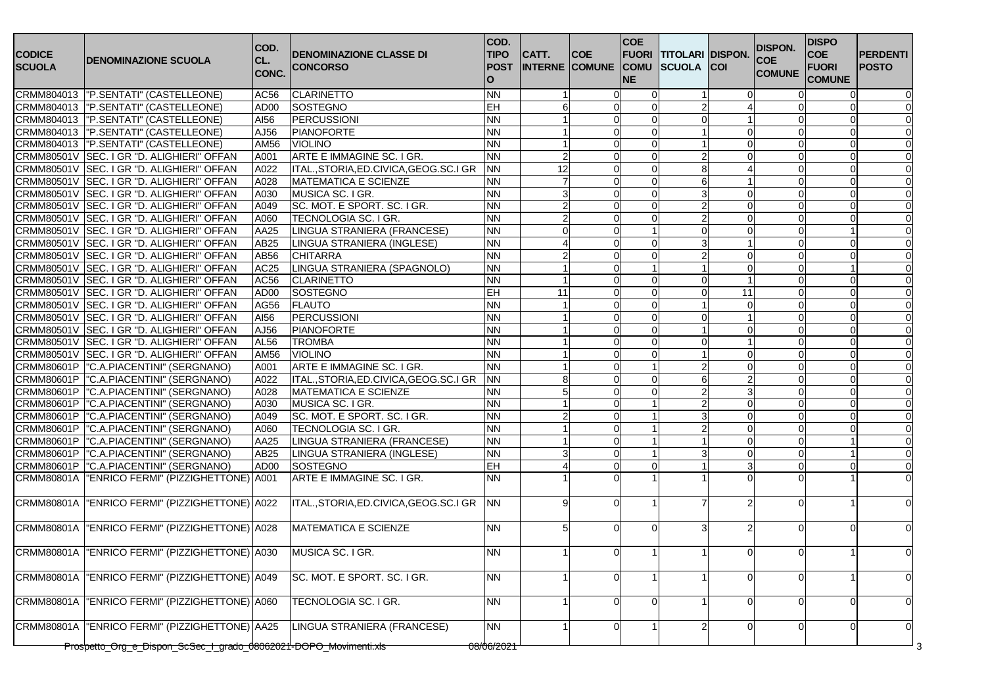| <b>CODICE</b><br><b>SCUOLA</b> | <b>DENOMINAZIONE SCUOLA</b>                                      | COD.<br>CL.<br>CONC. | <b>DENOMINAZIONE CLASSE DI</b><br><b>CONCORSO</b> | COD.<br><b>TIPO</b><br><b>POST</b><br>$\Omega$ | CATT.    | <b>COE</b><br><b>INTERNE COMUNE COMU SCUOLA</b> | <b>COE</b><br><b>FUORI</b><br><b>NE</b> | <b>TITOLARI DISPON.</b> | <b>ICOI</b> | <b>DISPON.</b><br><b>COE</b><br><b>COMUNE</b> | <b>DISPO</b><br><b>COE</b><br><b>FUORI</b><br><b>COMUNE</b> | <b>PERDENTI</b><br><b>POSTO</b> |
|--------------------------------|------------------------------------------------------------------|----------------------|---------------------------------------------------|------------------------------------------------|----------|-------------------------------------------------|-----------------------------------------|-------------------------|-------------|-----------------------------------------------|-------------------------------------------------------------|---------------------------------|
|                                | CRMM804013  "P.SENTATI" (CASTELLEONE)                            | AC56                 | <b>CLARINETTO</b>                                 | <b>NN</b>                                      |          |                                                 |                                         |                         |             |                                               |                                                             |                                 |
|                                | CRMM804013  "P.SENTATI" (CASTELLEONE)                            | AD00                 | SOSTEGNO                                          | EH                                             | 6        | ∩                                               | $\Omega$                                |                         |             |                                               |                                                             |                                 |
|                                | CRMM804013  "P.SENTATI" (CASTELLEONE)                            | AI56                 | <b>PERCUSSIONI</b>                                | <b>NN</b>                                      |          | $\Omega$                                        | $\Omega$                                |                         |             |                                               | $\Omega$                                                    |                                 |
|                                | CRMM804013  "P.SENTATI" (CASTELLEONE)                            | AJ56                 | <b>PIANOFORTE</b>                                 | <b>NN</b>                                      |          | $\Omega$                                        | $\Omega$                                |                         | 0           |                                               |                                                             |                                 |
|                                | CRMM804013  "P.SENTATI" (CASTELLEONE)                            | AM56                 | <b>VIOLINO</b>                                    | <b>NN</b>                                      |          |                                                 | $\Omega$                                |                         | $\Omega$    |                                               |                                                             |                                 |
|                                | CRMM80501V SEC. I GR "D. ALIGHIERI" OFFAN                        | A001                 | ARTE E IMMAGINE SC. I GR.                         | <b>NN</b>                                      |          | ∩                                               | $\Omega$                                |                         | $\Omega$    |                                               |                                                             |                                 |
|                                | CRMM80501V SEC. I GR "D. ALIGHIERI" OFFAN                        | A022                 | ITAL., STORIA, ED. CIVICA, GEOG. SC. I GR         | <b>NN</b>                                      | 12       | O                                               | $\Omega$                                |                         |             |                                               |                                                             |                                 |
|                                | CRMM80501V SEC. I GR "D. ALIGHIERI" OFFAN                        | A028                 | MATEMATICA E SCIENZE                              | <b>NN</b>                                      |          | O                                               | $\Omega$                                |                         |             |                                               | $\Omega$                                                    |                                 |
|                                | CRMM80501V SEC. I GR "D. ALIGHIERI" OFFAN                        | A030                 | MUSICA SC. I GR.                                  | <b>NN</b>                                      | 3        | $\Omega$                                        | $\Omega$                                |                         | $\Omega$    |                                               | $\Omega$                                                    |                                 |
| CRMM80501V                     | SEC. I GR "D. ALIGHIERI" OFFAN                                   | A049                 | SC. MOT. E SPORT. SC. I GR.                       | <b>NN</b>                                      |          | $\Omega$                                        | $\Omega$                                |                         | $\Omega$    |                                               | $\Omega$                                                    |                                 |
| CRMM80501V                     | SEC. I GR "D. ALIGHIERI" OFFAN                                   | A060                 | TECNOLOGIA SC. I GR.                              | <b>NN</b>                                      |          |                                                 | $\Omega$                                |                         | $\Omega$    |                                               | $\Omega$                                                    |                                 |
| CRMM80501V                     | SEC. I GR "D. ALIGHIERI" OFFAN                                   | AA25                 | LINGUA STRANIERA (FRANCESE)                       | <b>NN</b>                                      | $\Omega$ | <sup>0</sup>                                    | $\overline{1}$                          |                         | $\mathbf 0$ |                                               |                                                             |                                 |
|                                | CRMM80501V SEC. I GR "D. ALIGHIERI" OFFAN                        | AB25                 | LINGUA STRANIERA (INGLESE)                        | <b>NN</b>                                      |          | O                                               | $\Omega$                                |                         |             |                                               | $\Omega$                                                    |                                 |
|                                | CRMM80501V SEC. I GR "D. ALIGHIERI" OFFAN                        | AB56                 | <b>CHITARRA</b>                                   | <b>NN</b>                                      |          | $\Omega$                                        | $\Omega$                                |                         | $\mathbf 0$ |                                               | $\Omega$                                                    |                                 |
| <b>CRMM80501V</b>              | SEC. I GR "D. ALIGHIERI" OFFAN                                   | AC25                 | LINGUA STRANIERA (SPAGNOLO)                       | <b>NN</b>                                      |          | <sup>0</sup>                                    |                                         |                         | $\mathbf 0$ |                                               |                                                             |                                 |
| CRMM80501V                     | SEC. I GR "D. ALIGHIERI" OFFAN                                   | AC56                 | <b>CLARINETTO</b>                                 | <b>NN</b>                                      |          | <sup>0</sup>                                    | $\Omega$                                |                         |             |                                               | $\Omega$                                                    |                                 |
| CRMM80501V                     | SEC. I GR "D. ALIGHIERI" OFFAN                                   | AD00                 | SOSTEGNO                                          | <b>EH</b>                                      | 11       | O                                               | $\Omega$                                |                         | 11          |                                               | ∩                                                           |                                 |
|                                | CRMM80501V SEC. I GR "D. ALIGHIERI" OFFAN                        | AG56                 | <b>FLAUTO</b>                                     | <b>NN</b>                                      |          |                                                 | $\Omega$                                |                         | $\Omega$    |                                               |                                                             |                                 |
| CRMM80501V                     | SEC. I GR "D. ALIGHIERI" OFFAN                                   | AI56                 | <b>PERCUSSIONI</b>                                | <b>NN</b>                                      |          |                                                 | $\Omega$                                |                         |             |                                               |                                                             |                                 |
| CRMM80501V                     | SEC. I GR "D. ALIGHIERI" OFFAN                                   | AJ56                 | <b>PIANOFORTE</b>                                 | <b>NN</b>                                      |          | n                                               | $\Omega$                                |                         | $\Omega$    |                                               |                                                             |                                 |
|                                | CRMM80501V SEC. I GR "D. ALIGHIERI" OFFAN                        | AL56                 | <b>TROMBA</b>                                     | <b>NN</b>                                      |          |                                                 | $\Omega$                                |                         |             |                                               |                                                             |                                 |
|                                | CRMM80501V SEC. I GR "D. ALIGHIERI" OFFAN                        | AM56                 | <b>VIOLINO</b>                                    | <b>NN</b>                                      |          |                                                 | ∩                                       |                         |             |                                               |                                                             |                                 |
|                                | CRMM80601P  "C.A.PIACENTINI" (SERGNANO)                          | A001                 | ARTE E IMMAGINE SC. I GR.                         | <b>NN</b>                                      |          | ∩                                               |                                         |                         | $\Omega$    |                                               | $\Omega$                                                    |                                 |
|                                | CRMM80601P  "C.A.PIACENTINI" (SERGNANO)                          | A022                 | ITAL., STORIA, ED. CIVICA, GEOG. SC. I GR         | <b>NN</b>                                      | 8        | <sup>0</sup>                                    | $\Omega$                                |                         |             |                                               | $\Omega$                                                    |                                 |
|                                | CRMM80601P  "C.A.PIACENTINI" (SERGNANO)                          | A028                 | <b>MATEMATICA E SCIENZE</b>                       | <b>NN</b>                                      |          | <sup>0</sup>                                    | $\Omega$                                |                         | 3           |                                               | O                                                           |                                 |
|                                | CRMM80601P  "C.A.PIACENTINI" (SERGNANO)                          | A030                 | MUSICA SC. I GR.                                  | <b>NN</b>                                      |          |                                                 |                                         |                         |             |                                               |                                                             |                                 |
|                                | CRMM80601P  "C.A.PIACENTINI" (SERGNANO)                          | A049                 | SC. MOT. E SPORT. SC. I GR.                       | <b>NN</b>                                      |          |                                                 |                                         |                         | $\Omega$    |                                               |                                                             |                                 |
|                                | CRMM80601P  "C.A.PIACENTINI" (SERGNANO)                          | A060                 | TECNOLOGIA SC. I GR.                              | <b>NN</b>                                      |          | O                                               |                                         |                         | $\Omega$    |                                               | $\Omega$                                                    |                                 |
|                                | CRMM80601P  "C.A.PIACENTINI" (SERGNANO)                          | AA25                 | LINGUA STRANIERA (FRANCESE)                       | <b>NN</b>                                      |          | O                                               |                                         |                         | $\Omega$    |                                               |                                                             |                                 |
|                                | CRMM80601P  "C.A.PIACENTINI" (SERGNANO)                          | AB25                 | LINGUA STRANIERA (INGLESE)                        | <b>NN</b>                                      |          |                                                 |                                         |                         | $\Omega$    |                                               |                                                             |                                 |
|                                | CRMM80601P   "C.A.PIACENTINI" (SERGNANO)                         | AD00                 | SOSTEGNO                                          | EH                                             |          | $\Omega$                                        | $\Omega$                                |                         | 3           |                                               | $\Omega$                                                    |                                 |
|                                | CRMM80801A   "ENRICO FERMI" (PIZZIGHETTONE) A001                 |                      | ARTE E IMMAGINE SC. I GR.                         | <b>NN</b>                                      |          |                                                 |                                         |                         |             |                                               |                                                             |                                 |
|                                |                                                                  |                      |                                                   |                                                |          |                                                 |                                         |                         |             |                                               |                                                             |                                 |
|                                | CRMM80801A   "ENRICO FERMI" (PIZZIGHETTONE) A022                 |                      | ITAL., STORIA, ED.CIVICA, GEOG.SC.I GR            | <b>NN</b>                                      | g        | ∩                                               |                                         |                         |             |                                               |                                                             |                                 |
| CRMM80801A                     | ENRICO FERMI" (PIZZIGHETTONE) A028                               |                      | <b>MATEMATICA E SCIENZE</b>                       | <b>NN</b>                                      | 5        | n                                               | O                                       |                         |             |                                               |                                                             |                                 |
|                                | CRMM80801A   "ENRICO FERMI" (PIZZIGHETTONE) A030                 |                      | MUSICA SC. I GR.                                  | <b>NN</b>                                      |          | 0                                               |                                         |                         | $\mathbf 0$ | $\Omega$                                      | 1                                                           | $\Omega$                        |
| CRMM80801A                     | "ENRICO FERMI" (PIZZIGHETTONE) A049                              |                      | SC. MOT. E SPORT. SC. I GR.                       | <b>NN</b>                                      |          | n                                               |                                         |                         | ∩           |                                               |                                                             | $\Omega$                        |
| <b>CRMM80801A</b>              | "ENRICO FERMI" (PIZZIGHETTONE) A060                              |                      | <b>TECNOLOGIA SC. I GR.</b>                       | <b>NN</b>                                      |          |                                                 |                                         |                         |             |                                               |                                                             | $\Omega$                        |
| <b>CRMM80801A</b>              | "ENRICO FERMI" (PIZZIGHETTONE) AA25                              |                      | LINGUA STRANIERA (FRANCESE)                       | <b>NN</b>                                      |          |                                                 |                                         |                         |             |                                               |                                                             | $\Omega$                        |
|                                | Prospetto_Org_e_Dispon_ScSec_I_grado_08062021-DOPO_Movimenti.xls |                      |                                                   | 08/06/2021                                     |          |                                                 |                                         |                         |             |                                               |                                                             |                                 |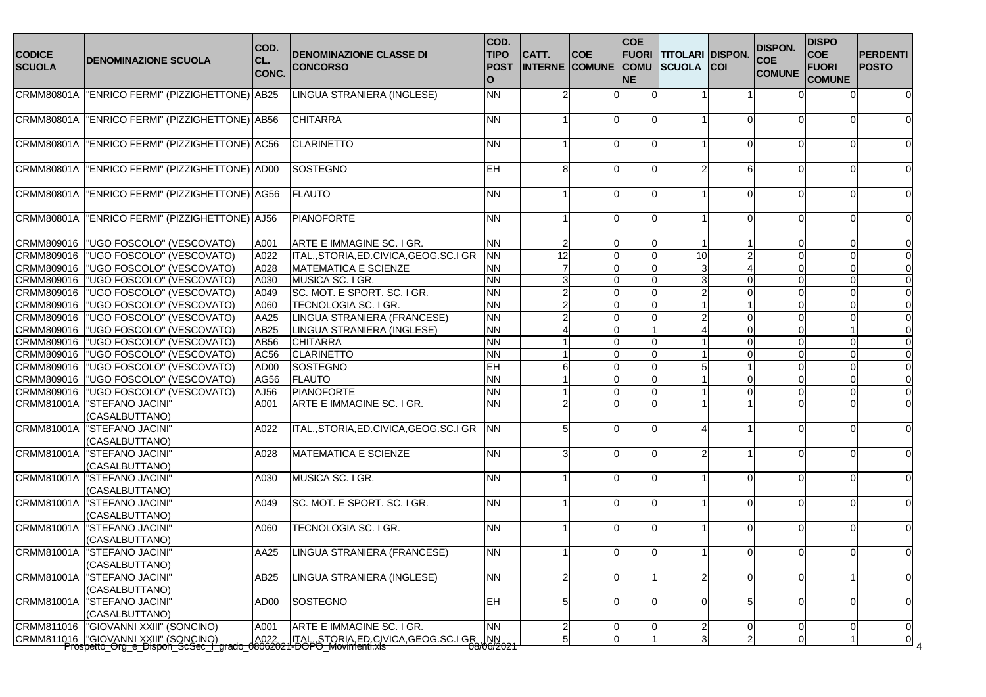| <b>CODICE</b><br><b>SCUOLA</b> | <b>DENOMINAZIONE SCUOLA</b>                      | COD.<br>CL.<br>CONC. | <b>DENOMINAZIONE CLASSE DI</b><br><b>CONCORSO</b> | COD.<br><b>TIPO</b><br><b>POST</b><br>$\Omega$ | CATT.          | <b>COE</b><br><b>INTERNE COMUNE COMU SCUOLA</b> | <b>COE</b><br><b>FUORI</b><br><b>NE</b> | <b>TITOLARI DISPON.</b> | <b>COI</b>     | <b>DISPON.</b><br><b>COE</b><br><b>COMUNE</b> | <b>DISPO</b><br><b>COE</b><br><b>FUORI</b><br><b>COMUNE</b> | <b>PERDENTI</b><br><b>POSTO</b> |
|--------------------------------|--------------------------------------------------|----------------------|---------------------------------------------------|------------------------------------------------|----------------|-------------------------------------------------|-----------------------------------------|-------------------------|----------------|-----------------------------------------------|-------------------------------------------------------------|---------------------------------|
|                                | CRMM80801A   "ENRICO FERMI" (PIZZIGHETTONE) AB25 |                      | LINGUA STRANIERA (INGLESE)                        | <b>NN</b>                                      |                |                                                 |                                         |                         |                |                                               |                                                             |                                 |
| <b>CRMM80801A</b>              | "ENRICO FERMI" (PIZZIGHETTONE) AB56              |                      | <b>CHITARRA</b>                                   | <b>NN</b>                                      |                | ∩                                               | $\Omega$                                |                         | $\Omega$       |                                               | ∩                                                           |                                 |
|                                | CRMM80801A   "ENRICO FERMI" (PIZZIGHETTONE) AC56 |                      | <b>CLARINETTO</b>                                 | <b>NN</b>                                      |                | ∩                                               | $\Omega$                                |                         | $\Omega$       |                                               |                                                             |                                 |
| <b>CRMM80801A</b>              | ENRICO FERMI" (PIZZIGHETTONE) AD00               |                      | <b>SOSTEGNO</b>                                   | <b>EH</b>                                      | 8              |                                                 |                                         |                         | 6              |                                               |                                                             |                                 |
|                                | CRMM80801A   "ENRICO FERMI" (PIZZIGHETTONE) AG56 |                      | <b>FLAUTO</b>                                     | <b>NN</b>                                      |                | ∩                                               | ∩                                       |                         | $\Omega$       |                                               | ∩                                                           |                                 |
|                                | CRMM80801A "ENRICO FERMI" (PIZZIGHETTONE) AJ56   |                      | <b>PIANOFORTE</b>                                 | <b>NN</b>                                      |                | ∩                                               | $\Omega$                                |                         | $\Omega$       |                                               | ∩                                                           |                                 |
|                                | CRMM809016  "UGO FOSCOLO" (VESCOVATO)            | A001                 | ARTE E IMMAGINE SC. I GR.                         | <b>NN</b>                                      | $\overline{2}$ | $\Omega$                                        | $\Omega$                                |                         |                |                                               | $\Omega$                                                    |                                 |
| CRMM809016                     | "UGO FOSCOLO" (VESCOVATO)                        | A022                 | ITAL., STORIA, ED. CIVICA, GEOG. SC. I GR         | <b>NN</b>                                      | 12             | $\Omega$                                        | $\Omega$                                | 10                      | 2              |                                               | $\Omega$                                                    | $\Omega$                        |
| CRMM809016                     | <b>UGO FOSCOLO" (VESCOVATO)</b>                  | A028                 | <b>MATEMATICA E SCIENZE</b>                       | <b>NN</b>                                      |                | $\Omega$                                        | $\Omega$                                |                         |                |                                               | $\Omega$                                                    |                                 |
| CRMM809016                     | <b>UGO FOSCOLO" (VESCOVATO)</b>                  | A030                 | MUSICA SC. I GR.                                  | <b>NN</b>                                      | 3              | $\Omega$                                        | $\Omega$                                |                         | $\Omega$       |                                               | $\Omega$                                                    |                                 |
| CRMM809016                     | <b>UGO FOSCOLO" (VESCOVATO)</b>                  | A049                 | SC. MOT. E SPORT. SC. I GR.                       | <b>NN</b>                                      | $\overline{2}$ | $\Omega$                                        | $\Omega$                                |                         | $\Omega$       |                                               | $\Omega$                                                    |                                 |
| CRMM809016                     | <b>UGO FOSCOLO" (VESCOVATO)</b>                  | A060                 | TECNOLOGIA SC. I GR.                              | <b>NN</b>                                      |                | ∩                                               | $\Omega$                                |                         |                |                                               |                                                             |                                 |
| CRMM809016                     | UGO FOSCOLO" (VESCOVATO)                         | AA25                 | LINGUA STRANIERA (FRANCESE)                       | <b>NN</b>                                      |                | ∩                                               | $\Omega$                                |                         | $\Omega$       |                                               |                                                             |                                 |
| CRMM809016                     | l"UGO FOSCOLO" (VESCOVATO)                       | AB25                 | LINGUA STRANIERA (INGLESE)                        | <b>NN</b>                                      |                | n                                               |                                         |                         | $\Omega$       |                                               |                                                             |                                 |
| CRMM809016                     | <b>UGO FOSCOLO" (VESCOVATO)</b>                  | AB56                 | <b>CHITARRA</b>                                   | <b>NN</b>                                      |                | n                                               | $\Omega$                                |                         | $\Omega$       |                                               |                                                             |                                 |
| CRMM809016                     | <b>UGO FOSCOLO" (VESCOVATO)</b>                  | AC56                 | <b>CLARINETTO</b>                                 | <b>NN</b>                                      |                | ∩                                               | $\Omega$                                |                         |                |                                               |                                                             |                                 |
| CRMM809016                     | "UGO FOSCOLO" (VESCOVATO)                        | AD00                 | SOSTEGNO                                          | EH                                             |                | ∩                                               | $\Omega$                                |                         |                |                                               | $\Omega$                                                    |                                 |
| CRMM809016                     | <b>UGO FOSCOLO" (VESCOVATO)</b>                  | AG56                 | <b>FLAUTO</b>                                     | <b>NN</b>                                      |                | $\Omega$                                        | $\Omega$                                |                         | $\Omega$       |                                               | $\Omega$                                                    |                                 |
| CRMM809016                     | "UGO FOSCOLO" (VESCOVATO)                        | AJ56                 | <b>PIANOFORTE</b>                                 | <b>NN</b>                                      |                | $\Omega$                                        | $\Omega$                                |                         | $\Omega$       |                                               | $\Omega$                                                    |                                 |
| CRMM81001A                     | <b>STEFANO JACINI'</b>                           | A001                 | ARTE E IMMAGINE SC. I GR.                         | <b>NN</b>                                      |                |                                                 |                                         |                         |                |                                               |                                                             |                                 |
|                                | (CASALBUTTANO)                                   |                      |                                                   |                                                |                |                                                 |                                         |                         |                |                                               |                                                             |                                 |
| CRMM81001A                     | "STEFANO JACINI'                                 | A022                 | ITAL., STORIA, ED. CIVICA, GEOG. SC. I GR         | <b>NN</b>                                      | 5              | ∩                                               | $\Omega$                                |                         |                |                                               | ∩                                                           |                                 |
|                                | (CASALBUTTANO)                                   |                      |                                                   |                                                |                |                                                 |                                         |                         |                |                                               |                                                             |                                 |
| CRMM81001A                     | <b>STEFANO JACINI</b>                            | A028                 | <b>MATEMATICA E SCIENZE</b>                       | <b>NN</b>                                      | 3              |                                                 | $\Omega$                                |                         |                |                                               |                                                             |                                 |
|                                | (CASALBUTTANO)                                   |                      |                                                   |                                                |                |                                                 |                                         |                         |                |                                               |                                                             |                                 |
| CRMM81001A                     | "STEFANO JACINI'                                 | A030                 | MUSICA SC. I GR.                                  | <b>NN</b>                                      |                |                                                 | $\Omega$                                |                         |                |                                               |                                                             |                                 |
|                                | (CASALBUTTANO)                                   |                      |                                                   |                                                |                |                                                 |                                         |                         |                |                                               |                                                             |                                 |
| CRMM81001A                     | <b>STEFANO JACINI'</b>                           | A049                 | SC. MOT. E SPORT. SC. I GR.                       | <b>NN</b>                                      |                | ∩                                               |                                         |                         | $\Omega$       |                                               |                                                             |                                 |
|                                | (CASALBUTTANO)                                   |                      |                                                   |                                                |                |                                                 |                                         |                         |                |                                               |                                                             |                                 |
| CRMM81001A                     | "STEFANO JACINI'                                 | A060                 | TECNOLOGIA SC. I GR.                              | <b>NN</b>                                      |                | n                                               |                                         |                         | $\Omega$       |                                               | ∩                                                           |                                 |
|                                | (CASALBUTTANO)                                   |                      |                                                   |                                                |                |                                                 |                                         |                         |                |                                               |                                                             |                                 |
|                                | CRMM81001A   "STEFANO JACINI"                    | AA25                 | LINGUA STRANIERA (FRANCESE)                       | <b>NN</b>                                      |                | 0                                               | $\Omega$                                |                         | 0              |                                               | $\mathbf 0$                                                 | $\Omega$                        |
|                                | (CASALBUTTANO)                                   |                      |                                                   |                                                |                |                                                 |                                         |                         |                |                                               |                                                             |                                 |
| CRMM81001A                     | "STEFANO JACINI"                                 | AB25                 | <b>LINGUA STRANIERA (INGLESE)</b>                 | <b>NN</b>                                      | $\overline{2}$ | ∩                                               |                                         |                         | $\Omega$       |                                               |                                                             | $\Omega$                        |
|                                | (CASALBUTTANO)                                   |                      |                                                   |                                                |                |                                                 |                                         |                         |                |                                               |                                                             |                                 |
| CRMM81001A                     | "STEFANO JACINI"                                 | AD00                 | <b>SOSTEGNO</b>                                   | <b>EH</b>                                      |                |                                                 | O                                       |                         |                |                                               |                                                             | $\mathbf 0$                     |
|                                | (CASALBUTTANO)                                   |                      |                                                   |                                                |                |                                                 |                                         |                         |                |                                               |                                                             |                                 |
| CRMM811016                     | <b>GIOVANNI XXIII" (SONCINO)</b>                 | A001                 | ARTE E IMMAGINE SC. I GR.                         | <b>NN</b>                                      | 2              | <sup>0</sup>                                    | 0                                       |                         | 0              |                                               | 0                                                           | 0                               |
|                                |                                                  |                      |                                                   |                                                | 5 <sup>1</sup> | 0                                               |                                         |                         | $\overline{2}$ |                                               |                                                             | $\overline{0}$                  |
|                                |                                                  |                      |                                                   |                                                |                |                                                 |                                         |                         |                |                                               |                                                             |                                 |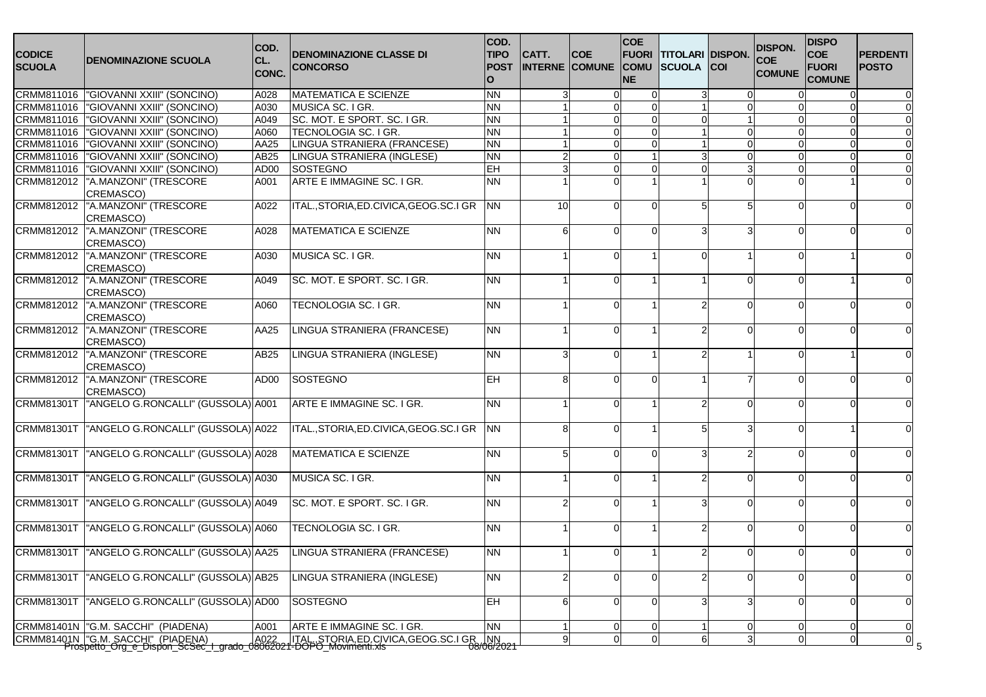| CRMM811016  "GIOVANNI XXIII" (SONCINO)<br><b>NN</b><br>A028<br><b>MATEMATICA E SCIENZE</b><br>3<br>$\mathbf 0$<br>0<br>$\Omega$<br>CRMM811016<br>"GIOVANNI XXIII" (SONCINO)<br>MUSICA SC. I GR.<br><b>NN</b><br>A030<br>$\Omega$<br>$\Omega$<br>CRMM811016<br>SC. MOT. E SPORT. SC. I GR.<br><b>NN</b><br><b>GIOVANNI XXIII" (SONCINO)</b><br>A049<br>$\Omega$<br>$\Omega$<br>$\Omega$<br><b>NN</b><br>CRMM811016<br><b>GIOVANNI XXIII" (SONCINO)</b><br>A060<br>TECNOLOGIA SC. I GR.<br>$\mathbf 0$<br>$\mathbf 0$<br>$\mathbf 0$<br>$\Omega$<br><b>NN</b><br>CRMM811016<br><b>GIOVANNI XXIII" (SONCINO)</b><br>AA25<br>LINGUA STRANIERA (FRANCESE)<br>$\Omega$<br>$\Omega$<br>$\Omega$<br>$\Omega$<br><b>NN</b><br>CRMM811016<br><b>GIOVANNI XXIII" (SONCINO)</b><br>LINGUA STRANIERA (INGLESE)<br>$\Omega$<br>$\Omega$<br>AB25<br>2<br>$\Omega$<br>CRMM811016<br>EH<br><b>GIOVANNI XXIII" (SONCINO)</b><br>SOSTEGNO<br>3<br>3<br>AD00<br>$\Omega$<br>$\Omega$<br>$\Omega$<br>ARTE E IMMAGINE SC. I GR.<br>CRMM812012<br><b>NN</b><br>"A.MANZONI" (TRESCORE<br>A001<br>$\Omega$<br>CREMASCO)<br>"A.MANZONI" (TRESCORE<br>ITAL., STORIA, ED. CIVICA, GEOG. SC. I GR<br><b>NN</b><br>CRMM812012<br>10<br>A022<br>∩<br>$\Omega$<br>$\Omega$<br>CREMASCO)<br>"A.MANZONI" (TRESCORE<br><b>MATEMATICA E SCIENZE</b><br><b>NN</b><br>A028<br>6<br>∩<br>∩<br>∩<br>CREMASCO)<br>"A.MANZONI" (TRESCORE<br>MUSICA SC. I GR.<br><b>NN</b><br>A030<br>CREMASCO)<br>"A.MANZONI" (TRESCORE<br>SC. MOT. E SPORT. SC. I GR.<br><b>NN</b><br>A049<br>$\Omega$<br>∩<br>CREMASCO)<br>"A.MANZONI" (TRESCORE<br>TECNOLOGIA SC. I GR.<br><b>NN</b><br>A060<br>$\Omega$<br>$\Omega$<br>$\Omega$<br>CREMASCO)<br>"A.MANZONI" (TRESCORE<br>LINGUA STRANIERA (FRANCESE)<br><b>NN</b><br>AA25<br>$\Omega$<br>$\Omega$<br>$\Omega$<br>CREMASCO)<br>"A.MANZONI" (TRESCORE<br><b>NN</b><br>CRMM812012<br>LINGUA STRANIERA (INGLESE)<br>AB25<br>3<br>$\Omega$<br>CREMASCO)<br>"A.MANZONI" (TRESCORE<br>SOSTEGNO<br>AD00<br><b>EH</b><br>8<br>$\Omega$<br>∩<br>$\Omega$<br>CREMASCO)<br>"ANGELO G.RONCALLI" (GUSSOLA) A001<br>ARTE E IMMAGINE SC. I GR.<br>CRMM81301T<br><b>NN</b><br>$\Omega$<br>$\Omega$<br>"ANGELO G.RONCALLI" (GUSSOLA) A022<br>ITAL., STORIA, ED. CIVICA, GEOG. SC. I GR<br><b>NN</b><br>8<br>$\Omega$<br><b>NN</b><br><b>MATEMATICA E SCIENZE</b><br>5<br>$\mathcal{P}$<br>$\Omega$<br>$\Omega$<br>$\Omega$<br>"ANGELO G.RONCALLI" (GUSSOLA) A030<br>MUSICA SC. I GR.<br><b>NN</b><br>$\Omega$<br>$\Omega$<br>∩<br>SC. MOT. E SPORT. SC. I GR.<br><b>NN</b><br>$\overline{2}$<br>$\Omega$<br>$\Omega$<br>∩<br>"ANGELO G.RONCALLI" (GUSSOLA) A060<br>TECNOLOGIA SC. I GR.<br><b>NN</b><br>$\Omega$<br>$\Omega$<br><b>NN</b><br>LINGUA STRANIERA (FRANCESE)<br>$\overline{0}$<br>0<br>$\Omega$<br>CRMM81301T<br>"ANGELO G.RONCALLI" (GUSSOLA) AB25<br>LINGUA STRANIERA (INGLESE)<br><b>NN</b><br>2<br>$\Omega$<br>$\Omega$<br>$\Omega$<br>$\Omega$<br>"ANGELO G.RONCALLI" (GUSSOLA) AD00<br>EH<br><b>CRMM81301T</b><br><b>SOSTEGNO</b><br>6<br>0<br>$\Omega$<br>$\Omega$<br>3 | <b>CODICE</b><br><b>SCUOLA</b> | <b>IDENOMINAZIONE SCUOLA</b> | COD.<br>CL.<br>CONC. | <b>DENOMINAZIONE CLASSE DI</b><br><b>CONCORSO</b> | COD.<br><b>TIPO</b><br><b>POST</b><br>O | CATT. | <b>COE</b><br><b>INTERNE COMUNE COMU</b> | <b>COE</b><br><b>NE</b> | FUORI TITOLARI DISPON.<br><b>SCUOLA</b> | <b>COI</b> | <b>DISPON.</b><br><b>COE</b><br><b>COMUNE</b> | <b>DISPO</b><br><b>COE</b><br><b>FUORI</b><br><b>COMUNE</b> | <b>PERDENTI</b><br><b>POSTO</b> |
|--------------------------------------------------------------------------------------------------------------------------------------------------------------------------------------------------------------------------------------------------------------------------------------------------------------------------------------------------------------------------------------------------------------------------------------------------------------------------------------------------------------------------------------------------------------------------------------------------------------------------------------------------------------------------------------------------------------------------------------------------------------------------------------------------------------------------------------------------------------------------------------------------------------------------------------------------------------------------------------------------------------------------------------------------------------------------------------------------------------------------------------------------------------------------------------------------------------------------------------------------------------------------------------------------------------------------------------------------------------------------------------------------------------------------------------------------------------------------------------------------------------------------------------------------------------------------------------------------------------------------------------------------------------------------------------------------------------------------------------------------------------------------------------------------------------------------------------------------------------------------------------------------------------------------------------------------------------------------------------------------------------------------------------------------------------------------------------------------------------------------------------------------------------------------------------------------------------------------------------------------------------------------------------------------------------------------------------------------------------------------------------------------------------------------------------------------------------------------------------------------------------------------------------------------------------------------------------------------------------------------------------------------------------------------------------------------------------------------------------------------------------------------------------------------------------------------------------------------------------------------------------------------------------------------------------------------------------------------------------------------------------------------------------------------------------------|--------------------------------|------------------------------|----------------------|---------------------------------------------------|-----------------------------------------|-------|------------------------------------------|-------------------------|-----------------------------------------|------------|-----------------------------------------------|-------------------------------------------------------------|---------------------------------|
|                                                                                                                                                                                                                                                                                                                                                                                                                                                                                                                                                                                                                                                                                                                                                                                                                                                                                                                                                                                                                                                                                                                                                                                                                                                                                                                                                                                                                                                                                                                                                                                                                                                                                                                                                                                                                                                                                                                                                                                                                                                                                                                                                                                                                                                                                                                                                                                                                                                                                                                                                                                                                                                                                                                                                                                                                                                                                                                                                                                                                                                                    |                                |                              |                      |                                                   |                                         |       |                                          |                         |                                         |            |                                               |                                                             |                                 |
|                                                                                                                                                                                                                                                                                                                                                                                                                                                                                                                                                                                                                                                                                                                                                                                                                                                                                                                                                                                                                                                                                                                                                                                                                                                                                                                                                                                                                                                                                                                                                                                                                                                                                                                                                                                                                                                                                                                                                                                                                                                                                                                                                                                                                                                                                                                                                                                                                                                                                                                                                                                                                                                                                                                                                                                                                                                                                                                                                                                                                                                                    |                                |                              |                      |                                                   |                                         |       |                                          |                         |                                         |            |                                               |                                                             |                                 |
|                                                                                                                                                                                                                                                                                                                                                                                                                                                                                                                                                                                                                                                                                                                                                                                                                                                                                                                                                                                                                                                                                                                                                                                                                                                                                                                                                                                                                                                                                                                                                                                                                                                                                                                                                                                                                                                                                                                                                                                                                                                                                                                                                                                                                                                                                                                                                                                                                                                                                                                                                                                                                                                                                                                                                                                                                                                                                                                                                                                                                                                                    |                                |                              |                      |                                                   |                                         |       |                                          |                         |                                         |            |                                               |                                                             |                                 |
|                                                                                                                                                                                                                                                                                                                                                                                                                                                                                                                                                                                                                                                                                                                                                                                                                                                                                                                                                                                                                                                                                                                                                                                                                                                                                                                                                                                                                                                                                                                                                                                                                                                                                                                                                                                                                                                                                                                                                                                                                                                                                                                                                                                                                                                                                                                                                                                                                                                                                                                                                                                                                                                                                                                                                                                                                                                                                                                                                                                                                                                                    |                                |                              |                      |                                                   |                                         |       |                                          |                         |                                         |            |                                               |                                                             |                                 |
|                                                                                                                                                                                                                                                                                                                                                                                                                                                                                                                                                                                                                                                                                                                                                                                                                                                                                                                                                                                                                                                                                                                                                                                                                                                                                                                                                                                                                                                                                                                                                                                                                                                                                                                                                                                                                                                                                                                                                                                                                                                                                                                                                                                                                                                                                                                                                                                                                                                                                                                                                                                                                                                                                                                                                                                                                                                                                                                                                                                                                                                                    |                                |                              |                      |                                                   |                                         |       |                                          |                         |                                         |            |                                               |                                                             |                                 |
|                                                                                                                                                                                                                                                                                                                                                                                                                                                                                                                                                                                                                                                                                                                                                                                                                                                                                                                                                                                                                                                                                                                                                                                                                                                                                                                                                                                                                                                                                                                                                                                                                                                                                                                                                                                                                                                                                                                                                                                                                                                                                                                                                                                                                                                                                                                                                                                                                                                                                                                                                                                                                                                                                                                                                                                                                                                                                                                                                                                                                                                                    |                                |                              |                      |                                                   |                                         |       |                                          |                         |                                         |            |                                               |                                                             |                                 |
|                                                                                                                                                                                                                                                                                                                                                                                                                                                                                                                                                                                                                                                                                                                                                                                                                                                                                                                                                                                                                                                                                                                                                                                                                                                                                                                                                                                                                                                                                                                                                                                                                                                                                                                                                                                                                                                                                                                                                                                                                                                                                                                                                                                                                                                                                                                                                                                                                                                                                                                                                                                                                                                                                                                                                                                                                                                                                                                                                                                                                                                                    |                                |                              |                      |                                                   |                                         |       |                                          |                         |                                         |            |                                               |                                                             |                                 |
|                                                                                                                                                                                                                                                                                                                                                                                                                                                                                                                                                                                                                                                                                                                                                                                                                                                                                                                                                                                                                                                                                                                                                                                                                                                                                                                                                                                                                                                                                                                                                                                                                                                                                                                                                                                                                                                                                                                                                                                                                                                                                                                                                                                                                                                                                                                                                                                                                                                                                                                                                                                                                                                                                                                                                                                                                                                                                                                                                                                                                                                                    |                                |                              |                      |                                                   |                                         |       |                                          |                         |                                         |            |                                               |                                                             |                                 |
|                                                                                                                                                                                                                                                                                                                                                                                                                                                                                                                                                                                                                                                                                                                                                                                                                                                                                                                                                                                                                                                                                                                                                                                                                                                                                                                                                                                                                                                                                                                                                                                                                                                                                                                                                                                                                                                                                                                                                                                                                                                                                                                                                                                                                                                                                                                                                                                                                                                                                                                                                                                                                                                                                                                                                                                                                                                                                                                                                                                                                                                                    |                                |                              |                      |                                                   |                                         |       |                                          |                         |                                         |            |                                               |                                                             |                                 |
|                                                                                                                                                                                                                                                                                                                                                                                                                                                                                                                                                                                                                                                                                                                                                                                                                                                                                                                                                                                                                                                                                                                                                                                                                                                                                                                                                                                                                                                                                                                                                                                                                                                                                                                                                                                                                                                                                                                                                                                                                                                                                                                                                                                                                                                                                                                                                                                                                                                                                                                                                                                                                                                                                                                                                                                                                                                                                                                                                                                                                                                                    |                                |                              |                      |                                                   |                                         |       |                                          |                         |                                         |            |                                               |                                                             |                                 |
| CRMM812012<br>CRMM812012<br>CRMM812012<br>CRMM812012<br>CRMM812012<br>CRMM81301T<br>CRMM81301T  "ANGELO G.RONCALLI" (GUSSOLA) A028<br>CRMM81301T<br>CRMM81301T  "ANGELO G.RONCALLI" (GUSSOLA) A049<br><b>CRMM81301T</b><br>CRMM81301T TANGELO G.RONCALLI" (GUSSOLA) AA25                                                                                                                                                                                                                                                                                                                                                                                                                                                                                                                                                                                                                                                                                                                                                                                                                                                                                                                                                                                                                                                                                                                                                                                                                                                                                                                                                                                                                                                                                                                                                                                                                                                                                                                                                                                                                                                                                                                                                                                                                                                                                                                                                                                                                                                                                                                                                                                                                                                                                                                                                                                                                                                                                                                                                                                           | CRMM812012                     |                              |                      |                                                   |                                         |       |                                          |                         |                                         |            |                                               |                                                             |                                 |
|                                                                                                                                                                                                                                                                                                                                                                                                                                                                                                                                                                                                                                                                                                                                                                                                                                                                                                                                                                                                                                                                                                                                                                                                                                                                                                                                                                                                                                                                                                                                                                                                                                                                                                                                                                                                                                                                                                                                                                                                                                                                                                                                                                                                                                                                                                                                                                                                                                                                                                                                                                                                                                                                                                                                                                                                                                                                                                                                                                                                                                                                    |                                |                              |                      |                                                   |                                         |       |                                          |                         |                                         |            |                                               |                                                             |                                 |
|                                                                                                                                                                                                                                                                                                                                                                                                                                                                                                                                                                                                                                                                                                                                                                                                                                                                                                                                                                                                                                                                                                                                                                                                                                                                                                                                                                                                                                                                                                                                                                                                                                                                                                                                                                                                                                                                                                                                                                                                                                                                                                                                                                                                                                                                                                                                                                                                                                                                                                                                                                                                                                                                                                                                                                                                                                                                                                                                                                                                                                                                    |                                |                              |                      |                                                   |                                         |       |                                          |                         |                                         |            |                                               |                                                             |                                 |
|                                                                                                                                                                                                                                                                                                                                                                                                                                                                                                                                                                                                                                                                                                                                                                                                                                                                                                                                                                                                                                                                                                                                                                                                                                                                                                                                                                                                                                                                                                                                                                                                                                                                                                                                                                                                                                                                                                                                                                                                                                                                                                                                                                                                                                                                                                                                                                                                                                                                                                                                                                                                                                                                                                                                                                                                                                                                                                                                                                                                                                                                    |                                |                              |                      |                                                   |                                         |       |                                          |                         |                                         |            |                                               |                                                             |                                 |
|                                                                                                                                                                                                                                                                                                                                                                                                                                                                                                                                                                                                                                                                                                                                                                                                                                                                                                                                                                                                                                                                                                                                                                                                                                                                                                                                                                                                                                                                                                                                                                                                                                                                                                                                                                                                                                                                                                                                                                                                                                                                                                                                                                                                                                                                                                                                                                                                                                                                                                                                                                                                                                                                                                                                                                                                                                                                                                                                                                                                                                                                    |                                |                              |                      |                                                   |                                         |       |                                          |                         |                                         |            |                                               |                                                             |                                 |
|                                                                                                                                                                                                                                                                                                                                                                                                                                                                                                                                                                                                                                                                                                                                                                                                                                                                                                                                                                                                                                                                                                                                                                                                                                                                                                                                                                                                                                                                                                                                                                                                                                                                                                                                                                                                                                                                                                                                                                                                                                                                                                                                                                                                                                                                                                                                                                                                                                                                                                                                                                                                                                                                                                                                                                                                                                                                                                                                                                                                                                                                    |                                |                              |                      |                                                   |                                         |       |                                          |                         |                                         |            |                                               |                                                             |                                 |
|                                                                                                                                                                                                                                                                                                                                                                                                                                                                                                                                                                                                                                                                                                                                                                                                                                                                                                                                                                                                                                                                                                                                                                                                                                                                                                                                                                                                                                                                                                                                                                                                                                                                                                                                                                                                                                                                                                                                                                                                                                                                                                                                                                                                                                                                                                                                                                                                                                                                                                                                                                                                                                                                                                                                                                                                                                                                                                                                                                                                                                                                    |                                |                              |                      |                                                   |                                         |       |                                          |                         |                                         |            |                                               |                                                             |                                 |
|                                                                                                                                                                                                                                                                                                                                                                                                                                                                                                                                                                                                                                                                                                                                                                                                                                                                                                                                                                                                                                                                                                                                                                                                                                                                                                                                                                                                                                                                                                                                                                                                                                                                                                                                                                                                                                                                                                                                                                                                                                                                                                                                                                                                                                                                                                                                                                                                                                                                                                                                                                                                                                                                                                                                                                                                                                                                                                                                                                                                                                                                    |                                |                              |                      |                                                   |                                         |       |                                          |                         |                                         |            |                                               |                                                             |                                 |
|                                                                                                                                                                                                                                                                                                                                                                                                                                                                                                                                                                                                                                                                                                                                                                                                                                                                                                                                                                                                                                                                                                                                                                                                                                                                                                                                                                                                                                                                                                                                                                                                                                                                                                                                                                                                                                                                                                                                                                                                                                                                                                                                                                                                                                                                                                                                                                                                                                                                                                                                                                                                                                                                                                                                                                                                                                                                                                                                                                                                                                                                    |                                |                              |                      |                                                   |                                         |       |                                          |                         |                                         |            |                                               |                                                             |                                 |
|                                                                                                                                                                                                                                                                                                                                                                                                                                                                                                                                                                                                                                                                                                                                                                                                                                                                                                                                                                                                                                                                                                                                                                                                                                                                                                                                                                                                                                                                                                                                                                                                                                                                                                                                                                                                                                                                                                                                                                                                                                                                                                                                                                                                                                                                                                                                                                                                                                                                                                                                                                                                                                                                                                                                                                                                                                                                                                                                                                                                                                                                    |                                |                              |                      |                                                   |                                         |       |                                          |                         |                                         |            |                                               |                                                             |                                 |
|                                                                                                                                                                                                                                                                                                                                                                                                                                                                                                                                                                                                                                                                                                                                                                                                                                                                                                                                                                                                                                                                                                                                                                                                                                                                                                                                                                                                                                                                                                                                                                                                                                                                                                                                                                                                                                                                                                                                                                                                                                                                                                                                                                                                                                                                                                                                                                                                                                                                                                                                                                                                                                                                                                                                                                                                                                                                                                                                                                                                                                                                    |                                |                              |                      |                                                   |                                         |       |                                          |                         |                                         |            |                                               |                                                             |                                 |
|                                                                                                                                                                                                                                                                                                                                                                                                                                                                                                                                                                                                                                                                                                                                                                                                                                                                                                                                                                                                                                                                                                                                                                                                                                                                                                                                                                                                                                                                                                                                                                                                                                                                                                                                                                                                                                                                                                                                                                                                                                                                                                                                                                                                                                                                                                                                                                                                                                                                                                                                                                                                                                                                                                                                                                                                                                                                                                                                                                                                                                                                    |                                |                              |                      |                                                   |                                         |       |                                          |                         |                                         |            |                                               |                                                             |                                 |
|                                                                                                                                                                                                                                                                                                                                                                                                                                                                                                                                                                                                                                                                                                                                                                                                                                                                                                                                                                                                                                                                                                                                                                                                                                                                                                                                                                                                                                                                                                                                                                                                                                                                                                                                                                                                                                                                                                                                                                                                                                                                                                                                                                                                                                                                                                                                                                                                                                                                                                                                                                                                                                                                                                                                                                                                                                                                                                                                                                                                                                                                    |                                |                              |                      |                                                   |                                         |       |                                          |                         |                                         |            |                                               |                                                             |                                 |
|                                                                                                                                                                                                                                                                                                                                                                                                                                                                                                                                                                                                                                                                                                                                                                                                                                                                                                                                                                                                                                                                                                                                                                                                                                                                                                                                                                                                                                                                                                                                                                                                                                                                                                                                                                                                                                                                                                                                                                                                                                                                                                                                                                                                                                                                                                                                                                                                                                                                                                                                                                                                                                                                                                                                                                                                                                                                                                                                                                                                                                                                    |                                |                              |                      |                                                   |                                         |       |                                          |                         |                                         |            |                                               |                                                             |                                 |
|                                                                                                                                                                                                                                                                                                                                                                                                                                                                                                                                                                                                                                                                                                                                                                                                                                                                                                                                                                                                                                                                                                                                                                                                                                                                                                                                                                                                                                                                                                                                                                                                                                                                                                                                                                                                                                                                                                                                                                                                                                                                                                                                                                                                                                                                                                                                                                                                                                                                                                                                                                                                                                                                                                                                                                                                                                                                                                                                                                                                                                                                    |                                |                              |                      |                                                   |                                         |       |                                          |                         |                                         |            |                                               |                                                             | $\Omega$                        |
|                                                                                                                                                                                                                                                                                                                                                                                                                                                                                                                                                                                                                                                                                                                                                                                                                                                                                                                                                                                                                                                                                                                                                                                                                                                                                                                                                                                                                                                                                                                                                                                                                                                                                                                                                                                                                                                                                                                                                                                                                                                                                                                                                                                                                                                                                                                                                                                                                                                                                                                                                                                                                                                                                                                                                                                                                                                                                                                                                                                                                                                                    |                                |                              |                      |                                                   |                                         |       |                                          |                         |                                         |            |                                               |                                                             | 0                               |
| <b>NN</b><br>CRMM81401N  "G.M. SACCHI" (PIADENA)<br>A001<br>ARTE E IMMAGINE SC. I GR.<br>0<br>0<br>0<br>0                                                                                                                                                                                                                                                                                                                                                                                                                                                                                                                                                                                                                                                                                                                                                                                                                                                                                                                                                                                                                                                                                                                                                                                                                                                                                                                                                                                                                                                                                                                                                                                                                                                                                                                                                                                                                                                                                                                                                                                                                                                                                                                                                                                                                                                                                                                                                                                                                                                                                                                                                                                                                                                                                                                                                                                                                                                                                                                                                          |                                |                              |                      |                                                   |                                         |       |                                          |                         |                                         |            |                                               |                                                             | 0                               |
| $\pmb{0}$<br>9<br>3<br>0<br>$\Omega$<br>$\Omega$<br>6                                                                                                                                                                                                                                                                                                                                                                                                                                                                                                                                                                                                                                                                                                                                                                                                                                                                                                                                                                                                                                                                                                                                                                                                                                                                                                                                                                                                                                                                                                                                                                                                                                                                                                                                                                                                                                                                                                                                                                                                                                                                                                                                                                                                                                                                                                                                                                                                                                                                                                                                                                                                                                                                                                                                                                                                                                                                                                                                                                                                              |                                |                              |                      |                                                   |                                         |       |                                          |                         |                                         |            |                                               |                                                             | $\pmb{0}$                       |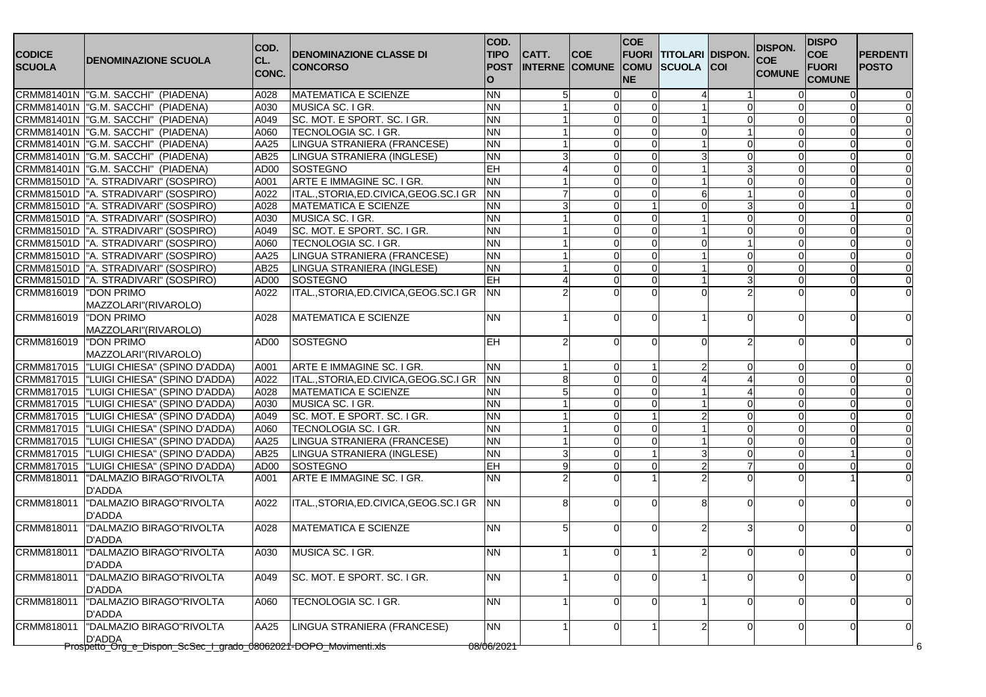| <b>CODICE</b><br><b>SCUOLA</b> | DENOMINAZIONE SCUOLA                                                       | COD.<br>CL.<br>CONC. | <b>DENOMINAZIONE CLASSE DI</b><br><b>CONCORSO</b> | COD.<br><b>TIPO</b><br><b>POST</b><br>$\Omega$ | CATT.          | <b>COE</b><br><b>INTERNE COMUNE COMU</b> | <b>COE</b><br><b>FUORI</b><br><b>NE</b> | <b>TITOLARI DISPON.</b><br><b>SCUOLA</b> | <b>ICOI</b>  | <b>DISPON.</b><br><b>COE</b><br><b>COMUNE</b> | <b>DISPO</b><br><b>COE</b><br><b>FUORI</b><br><b>COMUNE</b> | <b>PERDENTI</b><br><b>POSTO</b> |
|--------------------------------|----------------------------------------------------------------------------|----------------------|---------------------------------------------------|------------------------------------------------|----------------|------------------------------------------|-----------------------------------------|------------------------------------------|--------------|-----------------------------------------------|-------------------------------------------------------------|---------------------------------|
|                                | CRMM81401N  "G.M. SACCHI" (PIADENA)                                        | A028                 | <b>MATEMATICA E SCIENZE</b>                       | <b>NN</b>                                      | 5              | ∩                                        |                                         |                                          |              |                                               |                                                             |                                 |
|                                | CRMM81401N  "G.M. SACCHI" (PIADENA)                                        | A030                 | MUSICA SC. I GR.                                  | <b>NN</b>                                      |                |                                          |                                         |                                          |              |                                               |                                                             |                                 |
|                                | CRMM81401N  "G.M. SACCHI" (PIADENA)                                        | A049                 | SC. MOT. E SPORT. SC. I GR.                       | <b>NN</b>                                      |                |                                          | $\Omega$                                |                                          | n            |                                               |                                                             |                                 |
|                                | CRMM81401N   "G.M. SACCHI" (PIADENA)                                       | A060                 | TECNOLOGIA SC. I GR.                              | <b>NN</b>                                      |                | n                                        | $\Omega$                                |                                          |              |                                               |                                                             |                                 |
|                                | CRMM81401N  "G.M. SACCHI" (PIADENA)                                        | AA25                 | LINGUA STRANIERA (FRANCESE)                       | <b>NN</b>                                      |                |                                          | ∩                                       |                                          |              |                                               |                                                             |                                 |
|                                | CRMM81401N  "G.M. SACCHI" (PIADENA)                                        | AB25                 | LINGUA STRANIERA (INGLESE)                        | <b>NN</b>                                      |                | $\Omega$                                 | $\Omega$                                |                                          | $\Omega$     |                                               | ∩                                                           |                                 |
|                                | CRMM81401N  "G.M. SACCHI" (PIADENA)                                        | AD00                 | SOSTEGNO                                          | EH                                             |                | $\Omega$                                 | $\Omega$                                |                                          | 3            |                                               | O                                                           |                                 |
|                                | CRMM81501D  "A. STRADIVARI" (SOSPIRO)                                      | A001                 | ARTE E IMMAGINE SC. I GR.                         | <b>NN</b>                                      |                | $\Omega$                                 | $\Omega$                                |                                          | <sup>0</sup> |                                               |                                                             |                                 |
|                                | CRMM81501D  "A. STRADIVARI" (SOSPIRO)                                      | A022                 | ITAL., STORIA, ED. CIVICA, GEOG. SC. I GR         | <b>NN</b>                                      |                |                                          |                                         |                                          |              |                                               |                                                             |                                 |
|                                | CRMM81501D  "A. STRADIVARI" (SOSPIRO)                                      | A028                 | <b>MATEMATICA E SCIENZE</b>                       | <b>NN</b>                                      |                | $\Omega$                                 |                                         |                                          | 3            |                                               |                                                             |                                 |
|                                | CRMM81501D  "A. STRADIVARI" (SOSPIRO)                                      | A030                 | MUSICA SC. I GR.                                  | <b>NN</b>                                      |                |                                          | $\Omega$                                |                                          | $\Omega$     |                                               |                                                             |                                 |
|                                | CRMM81501D  "A. STRADIVARI" (SOSPIRO)                                      | A049                 | SC. MOT. E SPORT. SC. I GR.                       | <b>NN</b>                                      |                | $\Omega$                                 | $\Omega$                                |                                          | $\Omega$     |                                               | $\Omega$                                                    |                                 |
|                                | CRMM81501D  "A. STRADIVARI" (SOSPIRO)                                      | A060                 | TECNOLOGIA SC. I GR.                              | <b>NN</b>                                      |                |                                          | $\Omega$                                |                                          |              |                                               |                                                             |                                 |
|                                | CRMM81501D  "A. STRADIVARI" (SOSPIRO)                                      | AA25                 | LINGUA STRANIERA (FRANCESE)                       | <b>NN</b>                                      |                |                                          | $\Omega$                                |                                          | ∩            |                                               |                                                             |                                 |
|                                | CRMM81501D  "A. STRADIVARI" (SOSPIRO)                                      | AB25                 | LINGUA STRANIERA (INGLESE)                        | <b>NN</b>                                      |                |                                          | $\Omega$                                |                                          | <sup>0</sup> |                                               | $\Omega$                                                    |                                 |
|                                | CRMM81501D  "A. STRADIVARI" (SOSPIRO)                                      | AD00                 | <b>SOSTEGNO</b>                                   | EH                                             |                | ∩                                        | $\Omega$                                |                                          | 3            |                                               | $\Omega$                                                    |                                 |
| CRMM816019  "DON PRIMO         |                                                                            | A022                 | ITAL., STORIA, ED. CIVICA, GEOG. SC. I GR         | <b>NN</b>                                      |                |                                          |                                         |                                          |              |                                               |                                                             |                                 |
|                                | MAZZOLARI"(RIVAROLO)                                                       |                      |                                                   |                                                |                |                                          |                                         |                                          |              |                                               |                                                             |                                 |
| CRMM816019                     | <b>DON PRIMO</b>                                                           | A028                 | <b>IMATEMATICA E SCIENZE</b>                      | <b>NN</b>                                      |                |                                          | $\Omega$                                |                                          | ∩            |                                               |                                                             |                                 |
|                                | MAZZOLARI"(RIVAROLO)                                                       |                      |                                                   |                                                |                |                                          |                                         |                                          |              |                                               |                                                             |                                 |
| CRMM816019                     | "DON PRIMO                                                                 | AD00                 | SOSTEGNO                                          | <b>EH</b>                                      |                |                                          | $\Omega$                                |                                          |              |                                               |                                                             |                                 |
|                                | MAZZOLARI"(RIVAROLO)                                                       |                      |                                                   |                                                |                |                                          |                                         |                                          |              |                                               |                                                             |                                 |
| CRMM817015                     | "LUIGI CHIESA" (SPINO D'ADDA)                                              | A001                 | ARTE E IMMAGINE SC. I GR.                         | <b>NN</b>                                      |                |                                          |                                         |                                          | $\left($     |                                               |                                                             |                                 |
|                                | CRMM817015  "LUIGI CHIESA" (SPINO D'ADDA)                                  | A022                 | ITAL., STORIA, ED. CIVICA, GEOG. SC. I GR         | <b>NN</b>                                      | 8              | $\Omega$                                 | $\Omega$                                |                                          |              |                                               | O                                                           |                                 |
|                                | CRMM817015  "LUIGI CHIESA" (SPINO D'ADDA)                                  | A028                 | <b>MATEMATICA E SCIENZE</b>                       | <b>NN</b>                                      |                |                                          | $\Omega$                                |                                          |              |                                               |                                                             |                                 |
|                                | CRMM817015  "LUIGI CHIESA" (SPINO D'ADDA)                                  | A030                 | MUSICA SC. I GR.                                  | <b>NN</b>                                      |                |                                          |                                         |                                          |              |                                               |                                                             |                                 |
| CRMM817015                     | "LUIGI CHIESA" (SPINO D'ADDA)                                              | A049                 | SC. MOT. E SPORT. SC. I GR.                       | <b>NN</b>                                      |                |                                          |                                         |                                          | n            |                                               |                                                             |                                 |
|                                | CRMM817015  "LUIGI CHIESA" (SPINO D'ADDA)                                  | A060                 | TECNOLOGIA SC. I GR.                              | <b>NN</b>                                      |                | ∩                                        | $\Omega$                                |                                          | ∩            |                                               | ∩                                                           |                                 |
| CRMM817015                     | "LUIGI CHIESA" (SPINO D'ADDA)                                              | AA25                 | LINGUA STRANIERA (FRANCESE)                       | <b>NN</b>                                      |                | $\Omega$                                 | $\Omega$                                |                                          | $\Omega$     |                                               | ∩                                                           |                                 |
|                                | CRMM817015  "LUIGI CHIESA" (SPINO D'ADDA)                                  | AB25                 | LINGUA STRANIERA (INGLESE)                        | <b>NN</b>                                      |                |                                          |                                         |                                          | $\Omega$     |                                               |                                                             |                                 |
| CRMM817015                     | "LUIGI CHIESA" (SPINO D'ADDA)                                              | AD00                 | <b>SOSTEGNO</b>                                   | EH                                             | g              | $\Omega$                                 | $\Omega$                                |                                          | 7            |                                               |                                                             |                                 |
| CRMM818011                     | "DALMAZIO BIRAGO"RIVOLTA                                                   | A001                 | ARTE E IMMAGINE SC. I GR.                         | <b>NN</b>                                      |                |                                          |                                         |                                          |              |                                               |                                                             |                                 |
|                                | D'ADDA                                                                     |                      |                                                   |                                                |                |                                          |                                         |                                          |              |                                               |                                                             |                                 |
| CRMM818011                     | "DALMAZIO BIRAGO"RIVOLTA<br><b>D'ADDA</b>                                  | A022                 | ITAL., STORIA, ED. CIVICA, GEOG. SC. I GR         | <b>NN</b>                                      | 8              | ∩                                        | $\Omega$                                |                                          | $\Omega$     |                                               |                                                             |                                 |
| CRMM818011                     | "DALMAZIO BIRAGO"RIVOLTA<br>D'ADDA                                         | A028                 | <b>MATEMATICA E SCIENZE</b>                       | <b>NN</b>                                      | 5 <sup>1</sup> |                                          | $\Omega$                                |                                          | 3            |                                               |                                                             |                                 |
| CRMM818011                     | "DALMAZIO BIRAGO"RIVOLTA<br><b>D'ADDA</b>                                  | A030                 | MUSICA SC. I GR.                                  | <b>NN</b>                                      |                | 0                                        |                                         |                                          | $\Omega$     |                                               | $\Omega$                                                    |                                 |
| CRMM818011                     | "DALMAZIO BIRAGO"RIVOLTA<br><b>D'ADDA</b>                                  | A049                 | SC. MOT. E SPORT. SC. I GR.                       | <b>NN</b>                                      |                |                                          | $\Omega$                                |                                          | n            |                                               |                                                             | $\Omega$                        |
| CRMM818011                     | "DALMAZIO BIRAGO"RIVOLTA<br>D'ADDA                                         | A060                 | TECNOLOGIA SC. I GR.                              | <b>NN</b>                                      |                |                                          | $\Omega$                                |                                          | <sup>0</sup> |                                               |                                                             | $\Omega$                        |
| CRMM818011                     | "DALMAZIO BIRAGO"RIVOLTA                                                   | AA25                 | LINGUA STRANIERA (FRANCESE)                       | <b>NN</b>                                      |                |                                          |                                         |                                          |              |                                               |                                                             | $\Omega$                        |
|                                | D'ADDA<br>Prospetto_Org_e_Dispon_ScSec_I_grado_08062021-DOPO_Movimenti.xls |                      |                                                   | 08/06/2021                                     |                |                                          |                                         |                                          |              |                                               |                                                             |                                 |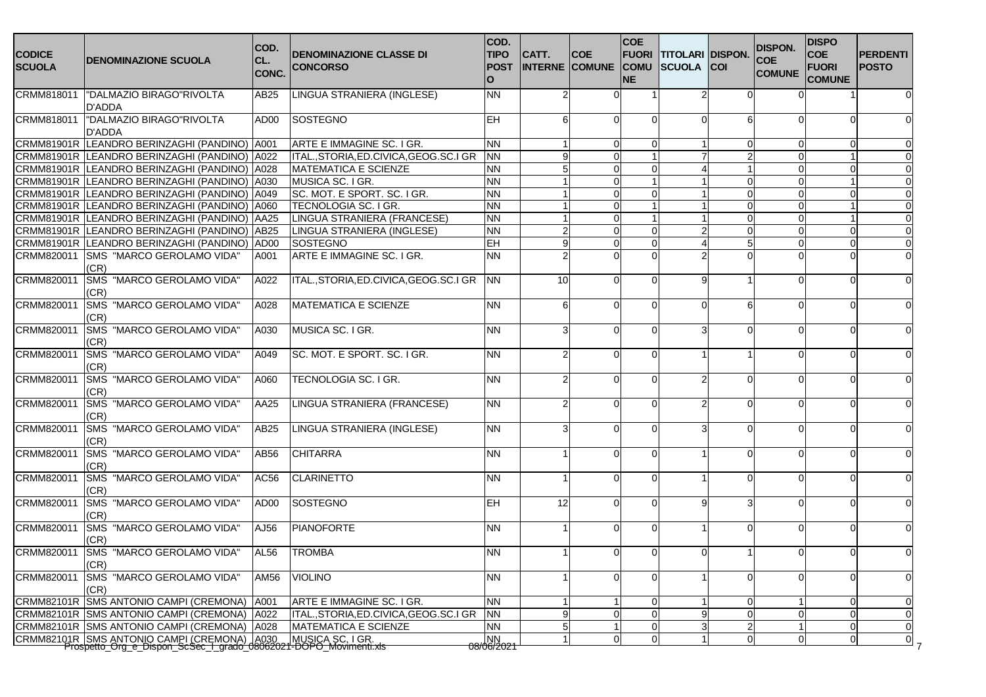| <b>CODICE</b><br><b>SCUOLA</b> | <b>DENOMINAZIONE SCUOLA</b>                                                                                                        | COD.<br>CL.<br>CONC. | <b>DENOMINAZIONE CLASSE DI</b><br><b>CONCORSO</b>                      | COD.<br><b>TIPO</b><br><b>POST</b><br>$\Omega$ | CATT.          | <b>COE</b><br><b>INTERNE COMUNE COMU</b> | <b>COE</b><br><b>FUORI</b><br><b>NE</b> | <b>TITOLARI DISPON.</b><br><b>SCUOLA</b> | <b>COI</b>     | <b>DISPON.</b><br><b>COE</b><br><b>COMUNE</b> | <b>DISPO</b><br><b>COE</b><br><b>FUORI</b><br><b>COMUNE</b> | <b>PERDENTI</b><br><b>POSTO</b> |
|--------------------------------|------------------------------------------------------------------------------------------------------------------------------------|----------------------|------------------------------------------------------------------------|------------------------------------------------|----------------|------------------------------------------|-----------------------------------------|------------------------------------------|----------------|-----------------------------------------------|-------------------------------------------------------------|---------------------------------|
| CRMM818011                     | "DALMAZIO BIRAGO"RIVOLTA<br>D'ADDA                                                                                                 | AB25                 | LINGUA STRANIERA (INGLESE)                                             | <b>NN</b>                                      | $\overline{2}$ |                                          |                                         |                                          |                |                                               |                                                             |                                 |
| CRMM818011                     | "DALMAZIO BIRAGO"RIVOLTA<br>D'ADDA                                                                                                 | AD00                 | <b>SOSTEGNO</b>                                                        | <b>EH</b>                                      | 6              | n                                        |                                         |                                          |                |                                               |                                                             |                                 |
|                                | CRMM81901R LEANDRO BERINZAGHI (PANDINO)<br>CRMM81901R LEANDRO BERINZAGHI (PANDINO) A022                                            | A001                 | ARTE E IMMAGINE SC. I GR.<br>ITAL., STORIA, ED. CIVICA, GEOG. SC. I GR | <b>NN</b><br><b>NN</b>                         |                | ∩                                        | ∩                                       |                                          |                |                                               |                                                             |                                 |
|                                | CRMM81901R LEANDRO BERINZAGHI (PANDINO)                                                                                            | A028                 | <b>MATEMATICA E SCIENZE</b>                                            | <b>NN</b>                                      |                | ∩                                        | $\Omega$                                |                                          |                |                                               | ∩                                                           |                                 |
|                                | CRMM81901R LEANDRO BERINZAGHI (PANDINO)                                                                                            | A030                 | MUSICA SC. I GR.                                                       | <b>NN</b>                                      |                | <sup>0</sup>                             |                                         |                                          | $\Omega$       |                                               |                                                             |                                 |
|                                |                                                                                                                                    |                      |                                                                        |                                                |                |                                          |                                         |                                          |                |                                               |                                                             |                                 |
|                                | CRMM81901R LEANDRO BERINZAGHI (PANDINO)                                                                                            | A049                 | SC. MOT. E SPORT. SC. I GR.                                            | <b>NN</b>                                      |                |                                          |                                         |                                          |                |                                               |                                                             |                                 |
|                                | CRMM81901R LEANDRO BERINZAGHI (PANDINO)                                                                                            | A060                 | TECNOLOGIA SC. I GR.                                                   | <b>NN</b>                                      |                | ∩                                        |                                         |                                          | $\Omega$       |                                               |                                                             |                                 |
|                                | CRMM81901R LEANDRO BERINZAGHI (PANDINO)                                                                                            | AA25                 | LINGUA STRANIERA (FRANCESE)                                            | <b>NN</b>                                      |                |                                          |                                         |                                          | $\Omega$       |                                               |                                                             |                                 |
|                                | CRMM81901R LEANDRO BERINZAGHI (PANDINO)                                                                                            | <b>AB25</b>          | LINGUA STRANIERA (INGLESE)                                             | <b>NN</b>                                      |                | n                                        | $\mathbf{0}$                            |                                          | $\Omega$       |                                               |                                                             |                                 |
|                                | CRMM81901R LEANDRO BERINZAGHI (PANDINO)                                                                                            | AD00                 | SOSTEGNO                                                               | EH                                             | 9              | ∩                                        | $\Omega$                                |                                          | 5              |                                               |                                                             |                                 |
| CRMM820011                     | SMS "MARCO GEROLAMO VIDA"<br>(CR)                                                                                                  | A001                 | ARTE E IMMAGINE SC. I GR.                                              | <b>NN</b>                                      |                |                                          |                                         |                                          |                |                                               |                                                             |                                 |
| CRMM820011                     | SMS "MARCO GEROLAMO VIDA"<br>(CR)                                                                                                  | A022                 | ITAL., STORIA, ED. CIVICA, GEOG. SC. I GR                              | <b>NN</b>                                      | 10             |                                          |                                         |                                          |                |                                               |                                                             |                                 |
| CRMM820011                     | SMS "MARCO GEROLAMO VIDA"<br>(CR)                                                                                                  | A028                 | <b>MATEMATICA E SCIENZE</b>                                            | <b>NN</b>                                      | 6              | ∩                                        | ∩                                       |                                          | 6              |                                               | ∩                                                           |                                 |
| CRMM820011                     | SMS "MARCO GEROLAMO VIDA"<br>(CR)                                                                                                  | A030                 | MUSICA SC. I GR.                                                       | <b>NN</b>                                      | 3              | ∩                                        | $\Omega$                                |                                          | $\Omega$       |                                               | ∩                                                           |                                 |
| CRMM820011                     | SMS "MARCO GEROLAMO VIDA"<br>(CR)                                                                                                  | A049                 | SC. MOT. E SPORT. SC. I GR.                                            | <b>NN</b>                                      | 2              | ∩                                        | ∩                                       |                                          |                |                                               |                                                             |                                 |
| CRMM820011                     | SMS "MARCO GEROLAMO VIDA"<br>(CR)                                                                                                  | A060                 | TECNOLOGIA SC. I GR.                                                   | <b>NN</b>                                      | $\overline{2}$ |                                          |                                         |                                          |                |                                               |                                                             |                                 |
| CRMM820011                     | SMS "MARCO GEROLAMO VIDA"<br>(CR)                                                                                                  | AA25                 | LINGUA STRANIERA (FRANCESE)                                            | <b>NN</b>                                      | 2              | ∩                                        |                                         |                                          |                |                                               |                                                             |                                 |
| CRMM820011                     | SMS "MARCO GEROLAMO VIDA"<br>(CR)                                                                                                  | AB25                 | LINGUA STRANIERA (INGLESE)                                             | <b>NN</b>                                      | 3              | n                                        | ∩                                       |                                          | $\Omega$       |                                               | ∩                                                           |                                 |
| CRMM820011                     | SMS "MARCO GEROLAMO VIDA"<br>(CR)                                                                                                  | AB56                 | <b>CHITARRA</b>                                                        | <b>NN</b>                                      |                | ∩                                        | ∩                                       |                                          | $\Omega$       |                                               | ∩                                                           |                                 |
| CRMM820011                     | SMS "MARCO GEROLAMO VIDA"<br>(CR)                                                                                                  | AC56                 | <b>CLARINETTO</b>                                                      | <b>NN</b>                                      |                | ∩                                        | ∩                                       |                                          | $\Omega$       |                                               |                                                             |                                 |
| CRMM820011                     | SMS "MARCO GEROLAMO VIDA"<br>(CR)                                                                                                  | AD00                 | SOSTEGNO                                                               | <b>EH</b>                                      | 12             | $\Omega$                                 |                                         |                                          | з              |                                               |                                                             |                                 |
| CRMM820011                     | SMS "MARCO GEROLAMO VIDA"<br>(CR)                                                                                                  | AJ56                 | <b>PIANOFORTE</b>                                                      | <b>NN</b>                                      |                |                                          | ∩                                       |                                          | ∩              |                                               |                                                             |                                 |
| CRMM820011                     | <b>SMS "MARCO GEROLAMO VIDA"</b><br>(CR)                                                                                           | AL56                 | <b>TROMBA</b>                                                          | <b>NN</b>                                      |                | 0                                        |                                         |                                          |                |                                               |                                                             |                                 |
| CRMM820011                     | SMS "MARCO GEROLAMO VIDA"<br>(CR)                                                                                                  | AM56                 | <b>VIOLINO</b>                                                         | <b>NN</b>                                      |                | n                                        | $\Omega$                                |                                          | $\Omega$       |                                               |                                                             | $\Omega$                        |
|                                | CRMM82101R SMS ANTONIO CAMPI (CREMONA)                                                                                             | A001                 | ARTE E IMMAGINE SC. I GR.                                              | <b>NN</b>                                      |                |                                          | $\Omega$                                |                                          | $\Omega$       |                                               | $\Omega$                                                    | $\mathbf 0$                     |
|                                | CRMM82101R SMS ANTONIO CAMPI (CREMONA)                                                                                             | A022                 | ITAL., STORIA, ED. CIVICA, GEOG. SC. I GR                              | <b>NN</b>                                      | 9              | $\Omega$                                 | $\Omega$                                |                                          | $\Omega$       |                                               | $\Omega$                                                    | $\mathbf 0$                     |
|                                | CRMM82101R SMS ANTONIO CAMPI (CREMONA)                                                                                             | A028                 | <b>MATEMATICA E SCIENZE</b>                                            | <b>NN</b>                                      | 5              |                                          | $\Omega$                                |                                          | $\overline{2}$ |                                               | $\Omega$                                                    | $\mathbf 0$                     |
|                                |                                                                                                                                    |                      |                                                                        |                                                |                | <sup>0</sup>                             | $\Omega$                                |                                          | $\mathbf 0$    |                                               | $\mathbf 0$                                                 | $\mathbf 0$                     |
|                                | CRMM82101R SMS ANTONIO CAMPI (CREMONA)   A030 MUSICA SC. I GR.<br>Prospetto_Org_e_Dispon_ScSec_I_grado_08062021-DOPO_Movimenti.xls |                      |                                                                        | $\frac{ NN }{08/06/2021}$                      |                |                                          |                                         |                                          |                |                                               |                                                             |                                 |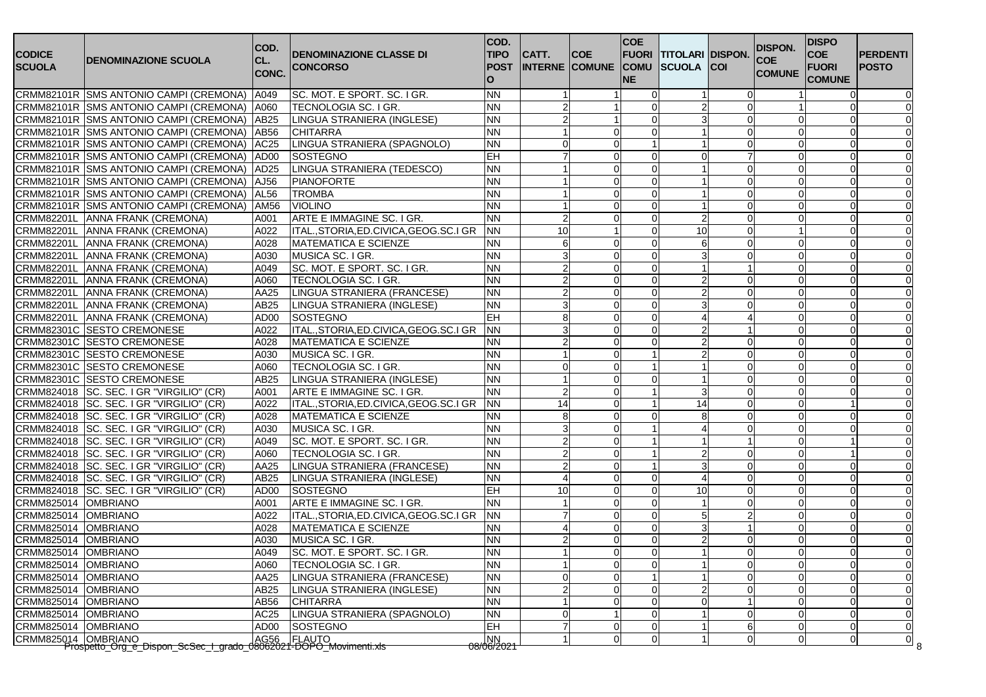|                     |                                                                  | COD.             |                                           | COD.                  |                       |                | <b>COE</b>              |                               |              | <b>DISPON.</b> | <b>DISPO</b>  |                 |
|---------------------|------------------------------------------------------------------|------------------|-------------------------------------------|-----------------------|-----------------------|----------------|-------------------------|-------------------------------|--------------|----------------|---------------|-----------------|
| <b>CODICE</b>       | <b>DENOMINAZIONE SCUOLA</b>                                      | CL.              | <b>DENOMINAZIONE CLASSE DI</b>            | <b>TIPO</b>           | CATT.                 | <b>COE</b>     |                         | <b>FUORI TITOLARI DISPON.</b> |              | <b>COE</b>     | <b>COE</b>    | <b>PERDENTI</b> |
| <b>SCUOLA</b>       |                                                                  | <b>CONC.</b>     | <b>CONCORSO</b>                           | <b>POST</b>           | <b>INTERNE COMUNE</b> |                | <b>COMU</b>             | <b>SCUOLA COI</b>             |              | <b>COMUNE</b>  | <b>FUORI</b>  | <b>POSTO</b>    |
|                     |                                                                  |                  |                                           | O                     |                       |                | <b>NE</b>               |                               |              |                | <b>COMUNE</b> |                 |
|                     | CRMM82101R SMS ANTONIO CAMPI (CREMONA)                           | A049             | SC. MOT. E SPORT. SC. I GR.               | <b>NN</b>             |                       |                |                         |                               | <sup>0</sup> |                | $\mathbf{0}$  |                 |
|                     | CRMM82101R SMS ANTONIO CAMPI (CREMONA)                           | A060             | TECNOLOGIA SC. I GR.                      | <b>NN</b>             |                       |                | $\Omega$                |                               | ∩            |                |               |                 |
|                     | CRMM82101R SMS ANTONIO CAMPI (CREMONA)                           | <b>AB25</b>      | LINGUA STRANIERA (INGLESE)                | <b>NN</b>             |                       |                | $\Omega$                |                               | 0            |                | $\Omega$      |                 |
|                     | CRMM82101R SMS ANTONIO CAMPI (CREMONA)                           | <b>AB56</b>      | <b>CHITARRA</b>                           | <b>NN</b>             |                       |                | $\Omega$                |                               | <sup>0</sup> |                |               |                 |
|                     | CRMM82101R SMS ANTONIO CAMPI (CREMONA)                           | <b>AC25</b>      | LINGUA STRANIERA (SPAGNOLO)               | <b>NN</b>             |                       |                |                         |                               | ∩            |                |               |                 |
|                     | CRMM82101R SMS ANTONIO CAMPI (CREMONA)                           | AD <sub>00</sub> | <b>SOSTEGNO</b>                           | <b>EH</b>             |                       |                | $\Omega$                |                               |              |                |               |                 |
|                     | CRMM82101R SMS ANTONIO CAMPI (CREMONA)                           | AD <sub>25</sub> | LINGUA STRANIERA (TEDESCO)                | <b>NN</b>             |                       | $\Omega$       | -C                      |                               | <sup>0</sup> |                |               |                 |
|                     | CRMM82101R SMS ANTONIO CAMPI (CREMONA)                           | AJ56             | <b>PIANOFORTE</b>                         | <b>NN</b>             |                       | $\Omega$       | 0                       |                               | <sup>0</sup> |                |               |                 |
|                     | CRMM82101R SMS ANTONIO CAMPI (CREMONA)                           | AL56             | <b>TROMBA</b>                             | <b>NN</b>             |                       | $\Omega$       | $\sqrt{ }$              |                               |              |                |               |                 |
|                     | CRMM82101R SMS ANTONIO CAMPI (CREMONA)                           | AM56             | <b>VIOLINO</b>                            | <b>NN</b>             |                       |                | $\Omega$                |                               | n            |                |               |                 |
|                     | CRMM82201L ANNA FRANK (CREMONA)                                  | A001             | ARTE E IMMAGINE SC. I GR.                 | <b>NN</b>             |                       | $\Omega$       | $\Omega$                |                               | $\Omega$     |                |               |                 |
|                     | CRMM82201L ANNA FRANK (CREMONA)                                  | A022             | ITAL., STORIA, ED. CIVICA, GEOG. SC. I GR | <b>NN</b>             | 10                    |                | $\Omega$                | 10                            | ∩            |                |               |                 |
|                     | CRMM82201L ANNA FRANK (CREMONA)                                  | A028             | <b>MATEMATICA E SCIENZE</b>               | <b>NN</b>             |                       |                |                         |                               |              |                |               |                 |
|                     | CRMM82201L ANNA FRANK (CREMONA)                                  | A030             | MUSICA SC. I GR.                          | <b>NN</b>             |                       | $\Omega$       | $\Omega$                |                               | ∩            |                | ∩             |                 |
|                     | CRMM82201L ANNA FRANK (CREMONA)                                  | A049             | SC. MOT. E SPORT. SC. I GR.               | <b>NN</b>             |                       | $\Omega$       | $\Omega$                |                               |              |                | O             |                 |
|                     | CRMM82201L ANNA FRANK (CREMONA)                                  | A060             | TECNOLOGIA SC. I GR.                      | <b>NN</b>             |                       | $\Omega$       | $\sqrt{ }$              |                               | 0            |                |               |                 |
|                     | CRMM82201L ANNA FRANK (CREMONA)                                  | AA25             | LINGUA STRANIERA (FRANCESE)               | <b>NN</b>             |                       |                | $\sqrt{ }$              |                               |              |                |               |                 |
|                     | CRMM82201L ANNA FRANK (CREMONA)                                  | AB25             | LINGUA STRANIERA (INGLESE)                | <b>NN</b>             |                       |                | $\sqrt{ }$              |                               |              |                |               |                 |
|                     | CRMM82201L ANNA FRANK (CREMONA)                                  | AD <sub>00</sub> | SOSTEGNO                                  | <b>EH</b>             | 8                     |                | $\sqrt{ }$              |                               |              |                |               |                 |
|                     | CRMM82301C SESTO CREMONESE                                       | A022             | ITAL., STORIA, ED. CIVICA, GEOG. SC. I GR | <b>NN</b>             |                       | $\Omega$       | $\Omega$                |                               |              |                |               |                 |
|                     | CRMM82301C SESTO CREMONESE                                       | A028             | <b>MATEMATICA E SCIENZE</b>               | <b>NN</b>             |                       |                | $\Omega$                |                               |              |                |               |                 |
|                     | CRMM82301C SESTO CREMONESE                                       | A030             | MUSICA SC. I GR.                          | <b>NN</b>             |                       |                |                         |                               |              |                |               |                 |
|                     | CRMM82301C SESTO CREMONESE                                       | A060             | <b>TECNOLOGIA SC. I GR.</b>               | <b>NN</b>             |                       |                |                         |                               |              |                |               |                 |
|                     | CRMM82301C SESTO CREMONESE                                       | AB25             | LINGUA STRANIERA (INGLESE)                | <b>NN</b>             |                       | $\Omega$       | $\Omega$                |                               | 0            |                | $\Omega$      |                 |
|                     | CRMM824018 SC. SEC. I GR "VIRGILIO" (CR)                         | A001             | ARTE E IMMAGINE SC. I GR.                 | <b>NN</b>             |                       |                |                         |                               | $\Omega$     |                |               |                 |
|                     | CRMM824018 SC. SEC. I GR "VIRGILIO" (CR)                         | A022             | ITAL., STORIA, ED. CIVICA, GEOG. SC. I GR | <b>NN</b>             | 14                    | $\Omega$       | $\overline{\mathbf{1}}$ | 14                            | $\Omega$     |                |               |                 |
|                     | CRMM824018 SC. SEC. I GR "VIRGILIO" (CR)                         | A028             | <b>MATEMATICA E SCIENZE</b>               | <b>NN</b>             |                       |                | $\Omega$                | 8                             |              |                |               |                 |
|                     | CRMM824018   SC. SEC. I GR "VIRGILIO" (CR)                       | A030             | <b>MUSICA SC. I GR.</b>                   | <b>NN</b>             |                       | $\Omega$       |                         |                               | $\Omega$     |                |               |                 |
|                     | CRMM824018   SC. SEC. I GR "VIRGILIO" (CR)                       | A049             | SC. MOT. E SPORT. SC. I GR.               | <b>NN</b>             |                       | 0              |                         |                               |              |                |               |                 |
|                     | CRMM824018 SC. SEC. I GR "VIRGILIO" (CR)                         | A060             | TECNOLOGIA SC. I GR.                      | <b>NN</b>             |                       |                |                         |                               |              |                |               |                 |
|                     | CRMM824018 SC. SEC. I GR "VIRGILIO" (CR)                         | AA25             | LINGUA STRANIERA (FRANCESE)               | <b>NN</b>             |                       |                |                         |                               |              |                |               |                 |
|                     | CRMM824018   SC. SEC. I GR "VIRGILIO" (CR)                       | AB25             | LINGUA STRANIERA (INGLESE)                | <b>NN</b>             |                       | $\Omega$       | -C                      |                               | $\Omega$     |                | 0             |                 |
|                     | CRMM824018 SC. SEC. I GR "VIRGILIO" (CR)                         | AD <sub>00</sub> | <b>SOSTEGNO</b>                           | <b>EH</b>             | 10                    | $\Omega$       | $\Omega$                | 10                            | $\Omega$     |                |               |                 |
| CRMM825014          | <b>OMBRIANO</b>                                                  | A001             | ARTE E IMMAGINE SC. I GR.                 | <b>NN</b>             |                       |                |                         |                               |              |                |               |                 |
| CRMM825014          | <b>OMBRIANO</b>                                                  | A022             | ITAL., STORIA, ED. CIVICA, GEOG. SC. I GR | <b>NN</b>             |                       | $\Omega$       | $\Omega$                |                               |              |                |               |                 |
| CRMM825014          | <b>OMBRIANO</b>                                                  | A028             | <b>MATEMATICA E SCIENZE</b>               | <b>NN</b>             |                       | $\Omega$       |                         |                               |              |                |               |                 |
| CRMM825014          | <b>OMBRIANO</b>                                                  | A030             | MUSICA SC. I GR.                          | <b>NN</b>             |                       | 0              | $\Omega$                |                               | <sup>0</sup> |                |               |                 |
| CRMM825014          | <b>OMBRIANO</b>                                                  | A049             | SC. MOT. E SPORT. SC. I GR.               | <b>NN</b>             |                       | $\Omega$       | $\Omega$                |                               |              |                |               |                 |
| CRMM825014 OMBRIANO |                                                                  | A060             | TECNOLOGIA SC. I GR.                      | <b>NN</b>             |                       | $\overline{0}$ | 0                       |                               | 0            | $\Omega$       | 0             | 0               |
| CRMM825014          | <b>OMBRIANO</b>                                                  | AA25             | LINGUA STRANIERA (FRANCESE)               | <b>NN</b>             |                       | $\mathbf 0$    |                         |                               | $\Omega$     |                | $\Omega$      | $\mathbf 0$     |
| CRMM825014 OMBRIANO |                                                                  | AB25             | LINGUA STRANIERA (INGLESE)                | <b>NN</b>             |                       | $\mathbf 0$    | $\Omega$                |                               |              |                |               |                 |
| CRMM825014          | <b>OMBRIANO</b>                                                  | AB56             | <b>CHITARRA</b>                           | <b>NN</b>             |                       | $\Omega$       |                         |                               |              |                |               |                 |
| CRMM825014          | <b>OMBRIANO</b>                                                  | AC25             | LINGUA STRANIERA (SPAGNOLO)               | <b>NN</b>             |                       |                | $\Omega$                |                               |              |                |               | $\Omega$        |
| CRMM825014          | <b>OMBRIANO</b>                                                  | AD00             | <b>SOSTEGNO</b>                           | <b>EH</b>             |                       | 0              | 0                       |                               | 6            |                | 0             | $\mathbf 0$     |
| CRMM825014 OMBRIANO |                                                                  | AG56             | <b>FLAUTO</b>                             | ΝŊ                    |                       | $\mathbf 0$    | 0                       |                               | 0            |                |               | $\mathbf 0$     |
|                     | Prospetto_Org_e_Dispon_ScSec_I_grado_08062021-DOPO_Movimenti.xls |                  |                                           | <del>08/06/2021</del> |                       |                |                         |                               |              |                |               | 8               |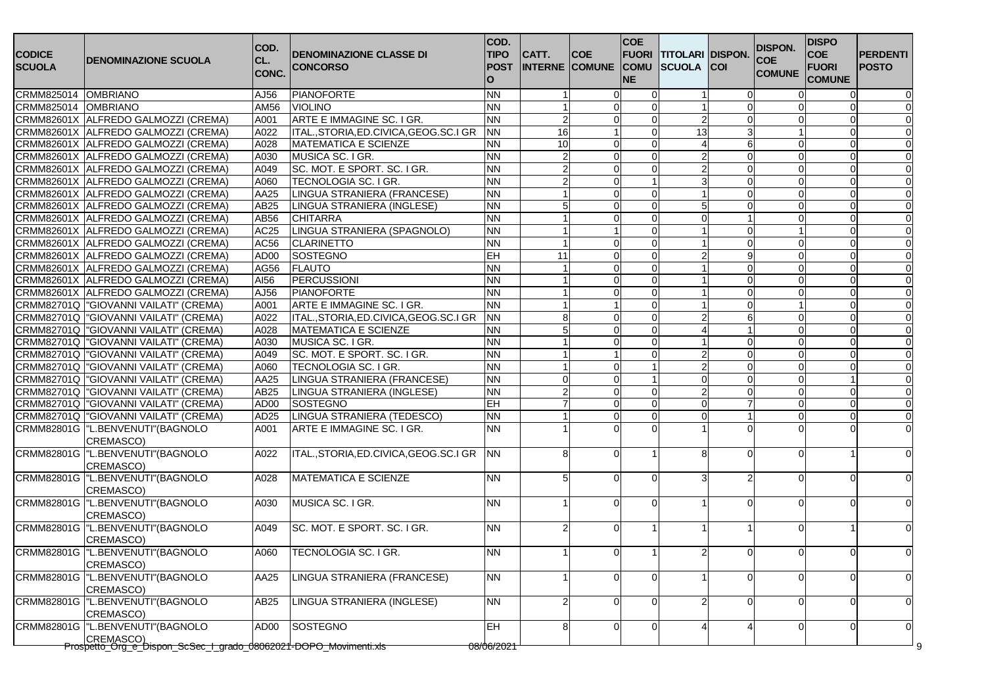| <b>CODICE</b><br><b>SCUOLA</b> | IDENOMINAZIONE SCUOLA                                                         | COD.<br>CL.<br>CONC. | <b>DENOMINAZIONE CLASSE DI</b><br><b>CONCORSO</b> | COD.<br><b>TIPO</b><br><b>POST</b><br>$\Omega$ | CATT.           | <b>COE</b><br><b>INTERNE COMUNE</b> | <b>COE</b><br><b>FUORI</b><br><b>COMU</b><br><b>NE</b> | <b>TITOLARI DISPON.</b><br><b>SCUOLA</b> | <b>COI</b>     | <b>DISPON.</b><br><b>COE</b><br><b>COMUNE</b> | <b>DISPO</b><br><b>COE</b><br><b>FUORI</b><br><b>COMUNE</b> | <b>PERDENTI</b><br><b>POSTO</b> |
|--------------------------------|-------------------------------------------------------------------------------|----------------------|---------------------------------------------------|------------------------------------------------|-----------------|-------------------------------------|--------------------------------------------------------|------------------------------------------|----------------|-----------------------------------------------|-------------------------------------------------------------|---------------------------------|
| CRMM825014                     | <b>OMBRIANO</b>                                                               | AJ56                 | PIANOFORTE                                        | <b>NN</b>                                      |                 |                                     |                                                        |                                          | $\Omega$       |                                               |                                                             |                                 |
| CRMM825014                     | <b>OMBRIANO</b>                                                               | $\overline{AM56}$    | <b>VIOLINO</b>                                    | <b>NN</b>                                      |                 | $\Omega$                            | $\Omega$                                               |                                          | $\Omega$       |                                               | $\Omega$                                                    |                                 |
|                                | CRMM82601X ALFREDO GALMOZZI (CREMA)                                           | A001                 | ARTE E IMMAGINE SC. I GR.                         | <b>NN</b>                                      | 2               | $\Omega$                            | $\Omega$                                               |                                          | $\Omega$       |                                               | $\Omega$                                                    |                                 |
|                                | CRMM82601X ALFREDO GALMOZZI (CREMA)                                           | A022                 | ITAL., STORIA, ED. CIVICA, GEOG. SC. I GR         | <b>NN</b>                                      | $\overline{6}$  |                                     | ∩                                                      | 13                                       | 3              |                                               | $\Omega$                                                    |                                 |
|                                | CRMM82601X ALFREDO GALMOZZI (CREMA)                                           | A028                 | MATEMATICA E SCIENZE                              | <b>NN</b>                                      | $\overline{10}$ |                                     | $\Omega$                                               |                                          | 6              |                                               | $\Omega$                                                    |                                 |
|                                | CRMM82601X ALFREDO GALMOZZI (CREMA)                                           | A030                 | MUSICA SC. I GR.                                  | <b>NN</b>                                      |                 |                                     | ∩                                                      |                                          | $\Omega$       |                                               | $\Omega$                                                    |                                 |
|                                | CRMM82601X ALFREDO GALMOZZI (CREMA)                                           | A049                 | SC. MOT. E SPORT. SC. I GR.                       | <b>NN</b>                                      | $\overline{2}$  | $\Omega$                            | $\Omega$                                               |                                          | $\mathbf 0$    |                                               | $\Omega$                                                    |                                 |
|                                | CRMM82601X ALFREDO GALMOZZI (CREMA)                                           | A060                 | TECNOLOGIA SC. I GR.                              | <b>NN</b>                                      | $\overline{2}$  | $\Omega$                            |                                                        |                                          | $\mathbf 0$    |                                               | $\Omega$                                                    |                                 |
|                                | CRMM82601X ALFREDO GALMOZZI (CREMA)                                           | AA25                 | LINGUA STRANIERA (FRANCESE)                       | <b>NN</b>                                      |                 |                                     | $\Omega$                                               |                                          | $\Omega$       |                                               | $\Omega$                                                    |                                 |
|                                | CRMM82601X ALFREDO GALMOZZI (CREMA)                                           | AB25                 | LINGUA STRANIERA (INGLESE)                        | <b>NN</b>                                      |                 | $\Omega$                            | ∩                                                      |                                          | $\Omega$       |                                               | $\Omega$                                                    |                                 |
|                                | CRMM82601X ALFREDO GALMOZZI (CREMA)                                           | AB56                 | <b>CHITARRA</b>                                   | <b>NN</b>                                      |                 |                                     | $\Omega$                                               |                                          |                |                                               | $\Omega$                                                    |                                 |
|                                | CRMM82601X ALFREDO GALMOZZI (CREMA)                                           | AC25                 | LINGUA STRANIERA (SPAGNOLO)                       | <b>NN</b>                                      |                 |                                     | $\Omega$                                               |                                          | $\mathbf 0$    |                                               | $\mathbf 0$                                                 |                                 |
|                                | CRMM82601X ALFREDO GALMOZZI (CREMA)                                           | AC56                 | <b>CLARINETTO</b>                                 | <b>NN</b>                                      |                 | $\Omega$                            | $\Omega$                                               |                                          | $\mathbf 0$    |                                               | $\Omega$                                                    |                                 |
|                                | CRMM82601X ALFREDO GALMOZZI (CREMA)                                           | AD <sub>00</sub>     | SOSTEGNO                                          | EH                                             | 11              | $\Omega$                            | $\Omega$                                               |                                          | 9              |                                               | $\Omega$                                                    |                                 |
|                                | CRMM82601X ALFREDO GALMOZZI (CREMA)                                           | AG56                 | <b>FLAUTO</b>                                     | <b>NN</b>                                      |                 | $\Omega$                            | $\Omega$                                               |                                          | $\mathbf 0$    |                                               | $\Omega$                                                    |                                 |
|                                | CRMM82601X ALFREDO GALMOZZI (CREMA)                                           | AI56                 | PERCUSSIONI                                       | <b>NN</b>                                      |                 | $\Omega$                            | $\Omega$                                               |                                          | $\Omega$       |                                               | $\Omega$                                                    |                                 |
|                                | CRMM82601X ALFREDO GALMOZZI (CREMA)                                           | AJ56                 | PIANOFORTE                                        | <b>NN</b>                                      |                 |                                     | $\Omega$                                               |                                          | $\Omega$       |                                               | $\Omega$                                                    |                                 |
|                                | CRMM82701Q   "GIOVANNI VAILATI" (CREMA)                                       | A001                 | ARTE E IMMAGINE SC. I GR.                         | <b>NN</b>                                      |                 |                                     | ∩                                                      |                                          | $\Omega$       |                                               | $\Omega$                                                    |                                 |
|                                | CRMM82701Q  "GIOVANNI VAILATI" (CREMA)                                        | A022                 | ITAL., STORIA, ED. CIVICA, GEOG. SC. I GR         | <b>NN</b>                                      | 8               |                                     | $\Omega$                                               |                                          | 6              |                                               | $\Omega$                                                    |                                 |
|                                | CRMM82701Q   "GIOVANNI VAILATI" (CREMA)                                       | A028                 | <b>IMATEMATICA E SCIENZE</b>                      | <b>NN</b>                                      |                 | O                                   | $\Omega$                                               |                                          |                |                                               | $\Omega$                                                    |                                 |
|                                | CRMM82701Q  "GIOVANNI VAILATI" (CREMA)                                        | A030                 | MUSICA SC. I GR.                                  | <b>NN</b>                                      |                 |                                     | $\Omega$                                               |                                          | $\Omega$       |                                               | $\Omega$                                                    |                                 |
|                                | CRMM82701Q  "GIOVANNI VAILATI" (CREMA)                                        | A049                 | SC. MOT. E SPORT. SC. I GR.                       | <b>NN</b>                                      |                 |                                     |                                                        |                                          | $\Omega$       |                                               |                                                             |                                 |
|                                | CRMM82701Q  "GIOVANNI VAILATI" (CREMA)                                        | A060                 | TECNOLOGIA SC. I GR.                              | <b>NN</b>                                      |                 | ∩                                   |                                                        |                                          | $\Omega$       |                                               | $\Omega$                                                    |                                 |
|                                | CRMM82701Q  "GIOVANNI VAILATI" (CREMA)                                        | AA25                 | LINGUA STRANIERA (FRANCESE)                       | <b>NN</b>                                      | ∩               | ∩                                   |                                                        |                                          | $\Omega$       |                                               |                                                             |                                 |
|                                | CRMM82701Q  "GIOVANNI VAILATI" (CREMA)                                        | AB25                 | LINGUA STRANIERA (INGLESE)                        | <b>NN</b>                                      |                 | $\Omega$                            | $\Omega$                                               |                                          | $\mathbf 0$    |                                               | $\Omega$                                                    |                                 |
|                                | CRMM82701Q  "GIOVANNI VAILATI" (CREMA)                                        | AD00                 | <b>SOSTEGNO</b>                                   | EH                                             |                 |                                     | $\Omega$                                               |                                          |                |                                               | $\Omega$                                                    |                                 |
|                                | CRMM82701Q  "GIOVANNI VAILATI" (CREMA)                                        | AD25                 | LINGUA STRANIERA (TEDESCO)                        | <b>NN</b>                                      |                 | $\Omega$                            | $\Omega$                                               |                                          |                |                                               | $\Omega$                                                    |                                 |
|                                | CRMM82801G  "L.BENVENUTI"(BAGNOLO                                             | A001                 | ARTE E IMMAGINE SC. I GR.                         | <b>NN</b>                                      |                 |                                     |                                                        |                                          | $\Omega$       |                                               |                                                             |                                 |
|                                | CREMASCO)                                                                     |                      |                                                   |                                                |                 |                                     |                                                        |                                          |                |                                               |                                                             |                                 |
|                                | CRMM82801G  "L.BENVENUTI"(BAGNOLO                                             | A022                 | ITAL., STORIA, ED. CIVICA, GEOG. SC. I GR         | <b>NN</b>                                      | 8               | ∩                                   |                                                        |                                          | $\Omega$       |                                               |                                                             |                                 |
|                                | CREMASCO)                                                                     |                      |                                                   |                                                |                 |                                     |                                                        |                                          |                |                                               |                                                             |                                 |
| CRMM82801G                     | <b>L.BENVENUTI"</b> (BAGNOLO                                                  | A028                 | IMATEMATICA E SCIENZE                             | <b>NN</b>                                      | 5               | $\Omega$                            | $\Omega$                                               |                                          | $\mathcal{P}$  |                                               | $\Omega$                                                    |                                 |
|                                | CREMASCO)<br>CRMM82801G  "L.BENVENUTI"(BAGNOLO                                | A030                 | MUSICA SC. I GR.                                  | <b>NN</b>                                      |                 |                                     | $\Omega$                                               |                                          | $\Omega$       |                                               | $\Omega$                                                    |                                 |
|                                | CREMASCO)<br>CRMM82801G  "L.BENVENUTI"(BAGNOLO                                | A049                 | SC. MOT. E SPORT. SC. I GR.                       | <b>NN</b>                                      | 2               |                                     |                                                        |                                          |                |                                               |                                                             |                                 |
|                                | CREMASCO)                                                                     |                      |                                                   |                                                |                 |                                     |                                                        |                                          |                |                                               |                                                             |                                 |
|                                | CRMM82801G  "L.BENVENUTI"(BAGNOLO<br>CREMASCO)                                | A060                 | <b>TECNOLOGIA SC. I GR.</b>                       | <b>NN</b>                                      |                 | $\mathbf 0$                         |                                                        |                                          | $\overline{0}$ | $\Omega$                                      | $\overline{0}$                                              | 0                               |
| <b>CRMM82801G</b>              | "L.BENVENUTI"(BAGNOLO<br>CREMASCO)                                            | AA25                 | LINGUA STRANIERA (FRANCESE)                       | <b>NN</b>                                      |                 | ∩                                   | $\Omega$                                               |                                          | $\Omega$       |                                               | $\Omega$                                                    |                                 |
|                                | CRMM82801G  "L.BENVENUTI"(BAGNOLO<br>CREMASCO)                                | AB25                 | LINGUA STRANIERA (INGLESE)                        | <b>NN</b>                                      |                 |                                     | O                                                      |                                          | $\Omega$       |                                               | $\Omega$                                                    |                                 |
|                                | CRMM82801G  "L.BENVENUTI"(BAGNOLO                                             | AD00                 | SOSTEGNO                                          | $H_1$                                          | 8               |                                     | O                                                      |                                          |                |                                               | $\Omega$                                                    |                                 |
|                                | CREMASCO)<br>Prospetto_Org_e_Dispon_ScSec_I_grado_08062021-DOPO_Movimenti.xls |                      |                                                   | 08/06/2021                                     |                 |                                     |                                                        |                                          |                |                                               |                                                             |                                 |